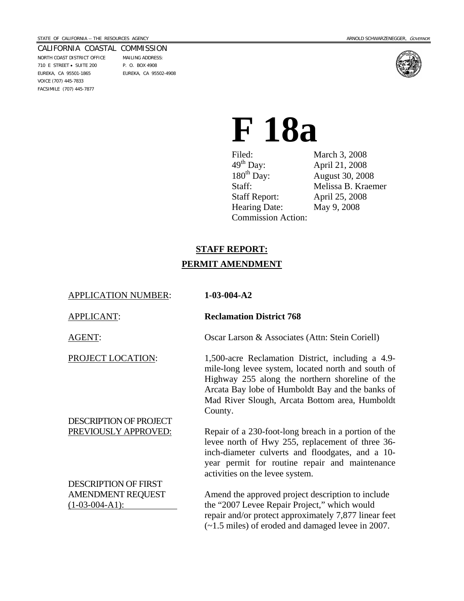#### CALIFORNIA COASTAL COMMISSION NORTH COAST DISTRICT OFFICE MAILING ADDRESS: 710 E STREET • SUITE 200 P. O. BOX 4908 EUREKA, CA 95501-1865 EUREKA, CA 95502-4908

VOICE (707) 445-7833 FACSIMILE (707) 445-7877



# **F 18a**

Filed: March 3, 2008<br>
49<sup>th</sup> Day: April 21, 2008<br>
180<sup>th</sup> Day: August 30, 200 180<sup>th</sup> Day: August 30, 2008<br>Staff: Melissa B. Kraer Staff Report: April 25, 2008 Hearing Date: May 9, 2008 Commission Action:

April 21, 2008 Melissa B. Kraemer

# **STAFF REPORT: PERMIT AMENDMENT**

| <b>APPLICATION NUMBER:</b>  | $1-03-004-A2$                                                                                                                                                                                                                                                               |
|-----------------------------|-----------------------------------------------------------------------------------------------------------------------------------------------------------------------------------------------------------------------------------------------------------------------------|
| <b>APPLICANT:</b>           | <b>Reclamation District 768</b>                                                                                                                                                                                                                                             |
| <b>AGENT:</b>               | Oscar Larson & Associates (Attn: Stein Coriell)                                                                                                                                                                                                                             |
| PROJECT LOCATION:           | 1,500-acre Reclamation District, including a 4.9-<br>mile-long levee system, located north and south of<br>Highway 255 along the northern shoreline of the<br>Arcata Bay lobe of Humboldt Bay and the banks of<br>Mad River Slough, Arcata Bottom area, Humboldt<br>County. |
| DESCRIPTION OF PROJECT      |                                                                                                                                                                                                                                                                             |
| PREVIOUSLY APPROVED:        | Repair of a 230-foot-long breach in a portion of the<br>levee north of Hwy 255, replacement of three 36-<br>inch-diameter culverts and floodgates, and a 10-<br>year permit for routine repair and maintenance<br>activities on the levee system.                           |
| <b>DESCRIPTION OF FIRST</b> |                                                                                                                                                                                                                                                                             |
| <b>AMENDMENT REQUEST</b>    | Amend the approved project description to include                                                                                                                                                                                                                           |
| $(1-03-004-A1)$ :           | the "2007 Levee Repair Project," which would<br>repair and/or protect approximately 7,877 linear feet<br>$(-1.5 \text{ miles})$ of eroded and damaged levee in 2007.                                                                                                        |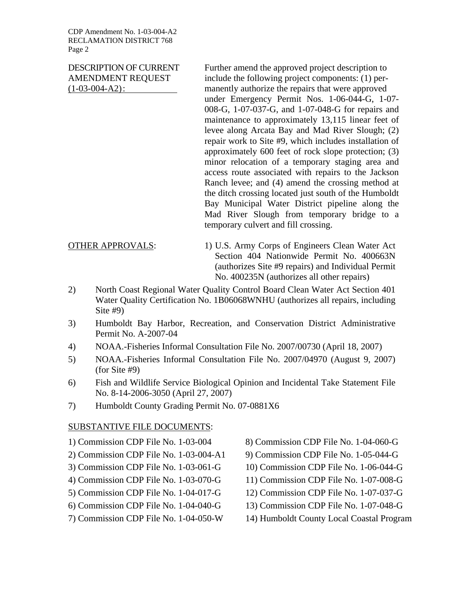CDP Amendment No. 1-03-004-A2 RECLAMATION DISTRICT 768 Page 2

DESCRIPTION OF CURRENT Further amend the approved project description to AMENDMENT REQUEST include the following project components: (1) per-(1-03-004-A2) : manently authorize the repairs that were approved under Emergency Permit Nos. 1-06-044-G, 1-07- 008-G, 1-07-037-G, and 1-07-048-G for repairs and maintenance to approximately 13,115 linear feet of levee along Arcata Bay and Mad River Slough; (2) repair work to Site #9, which includes installation of approximately 600 feet of rock slope protection; (3) minor relocation of a temporary staging area and access route associated with repairs to the Jackson Ranch levee; and (4) amend the crossing method at the ditch crossing located just south of the Humboldt Bay Municipal Water District pipeline along the Mad River Slough from temporary bridge to a temporary culvert and fill crossing.

OTHER APPROVALS: 1) U.S. Army Corps of Engineers Clean Water Act Section 404 Nationwide Permit No. 400663N (authorizes Site #9 repairs) and Individual Permit No. 400235N (authorizes all other repairs)

- 2) North Coast Regional Water Quality Control Board Clean Water Act Section 401 Water Quality Certification No. 1B06068WNHU (authorizes all repairs, including Site #9)
- 3) Humboldt Bay Harbor, Recreation, and Conservation District Administrative Permit No. A-2007-04
- 4) NOAA.-Fisheries Informal Consultation File No. 2007/00730 (April 18, 2007)
- 5) NOAA.-Fisheries Informal Consultation File No. 2007/04970 (August 9, 2007) (for Site #9)
- 6) Fish and Wildlife Service Biological Opinion and Incidental Take Statement File No. 8-14-2006-3050 (April 27, 2007)
- 7) Humboldt County Grading Permit No. 07-0881X6

#### SUBSTANTIVE FILE DOCUMENTS:

- 1) Commission CDP File No. 1-03-004
- 2) Commission CDP File No. 1-03-004-A1
- 3) Commission CDP File No. 1-03-061-G
- 4) Commission CDP File No. 1-03-070-G
- 5) Commission CDP File No. 1-04-017-G
- 6) Commission CDP File No. 1-04-040-G
- 7) Commission CDP File No. 1-04-050-W
- 8) Commission CDP File No. 1-04-060-G
- 9) Commission CDP File No. 1-05-044-G
- 10) Commission CDP File No. 1-06-044-G
- 11) Commission CDP File No. 1-07-008-G
- 12) Commission CDP File No. 1-07-037-G
- 13) Commission CDP File No. 1-07-048-G
- 14) Humboldt County Local Coastal Program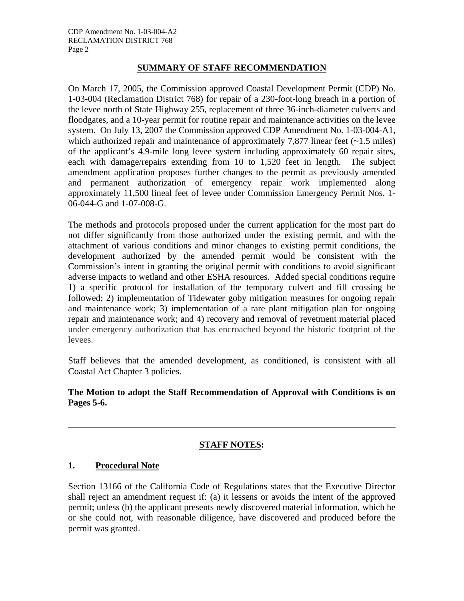#### **SUMMARY OF STAFF RECOMMENDATION**

On March 17, 2005, the Commission approved Coastal Development Permit (CDP) No. 1-03-004 (Reclamation District 768) for repair of a 230-foot-long breach in a portion of the levee north of State Highway 255, replacement of three 36-inch-diameter culverts and floodgates, and a 10-year permit for routine repair and maintenance activities on the levee system. On July 13, 2007 the Commission approved CDP Amendment No. 1-03-004-A1, which authorized repair and maintenance of approximately 7,877 linear feet  $(-1.5 \text{ miles})$ of the applicant's 4.9-mile long levee system including approximately 60 repair sites, each with damage/repairs extending from 10 to 1,520 feet in length. The subject amendment application proposes further changes to the permit as previously amended and permanent authorization of emergency repair work implemented along approximately 11,500 lineal feet of levee under Commission Emergency Permit Nos. 1- 06-044-G and 1-07-008-G.

The methods and protocols proposed under the current application for the most part do not differ significantly from those authorized under the existing permit, and with the attachment of various conditions and minor changes to existing permit conditions, the development authorized by the amended permit would be consistent with the Commission's intent in granting the original permit with conditions to avoid significant adverse impacts to wetland and other ESHA resources. Added special conditions require 1) a specific protocol for installation of the temporary culvert and fill crossing be followed; 2) implementation of Tidewater goby mitigation measures for ongoing repair and maintenance work; 3) implementation of a rare plant mitigation plan for ongoing repair and maintenance work; and 4) recovery and removal of revetment material placed under emergency authorization that has encroached beyond the historic footprint of the levees.

Staff believes that the amended development, as conditioned, is consistent with all Coastal Act Chapter 3 policies.

#### **The Motion to adopt the Staff Recommendation of Approval with Conditions is on Pages 5-6.**

#### **STAFF NOTES:**

\_\_\_\_\_\_\_\_\_\_\_\_\_\_\_\_\_\_\_\_\_\_\_\_\_\_\_\_\_\_\_\_\_\_\_\_\_\_\_\_\_\_\_\_\_\_\_\_\_\_\_\_\_\_\_\_\_\_\_\_\_\_\_\_\_\_\_\_\_\_\_\_

#### **1. Procedural Note**

Section 13166 of the California Code of Regulations states that the Executive Director shall reject an amendment request if: (a) it lessens or avoids the intent of the approved permit; unless (b) the applicant presents newly discovered material information, which he or she could not, with reasonable diligence, have discovered and produced before the permit was granted.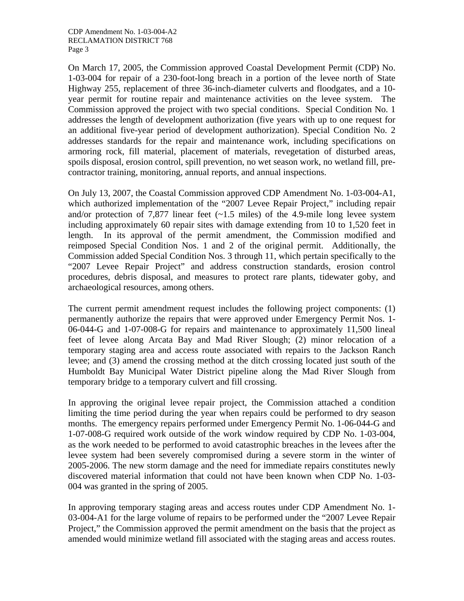On March 17, 2005, the Commission approved Coastal Development Permit (CDP) No. 1-03-004 for repair of a 230-foot-long breach in a portion of the levee north of State Highway 255, replacement of three 36-inch-diameter culverts and floodgates, and a 10 year permit for routine repair and maintenance activities on the levee system. The Commission approved the project with two special conditions. Special Condition No. 1 addresses the length of development authorization (five years with up to one request for an additional five-year period of development authorization). Special Condition No. 2 addresses standards for the repair and maintenance work, including specifications on armoring rock, fill material, placement of materials, revegetation of disturbed areas, spoils disposal, erosion control, spill prevention, no wet season work, no wetland fill, precontractor training, monitoring, annual reports, and annual inspections.

On July 13, 2007, the Coastal Commission approved CDP Amendment No. 1-03-004-A1, which authorized implementation of the "2007 Levee Repair Project," including repair and/or protection of 7,877 linear feet  $(-1.5 \text{ miles})$  of the 4.9-mile long levee system including approximately 60 repair sites with damage extending from 10 to 1,520 feet in length. In its approval of the permit amendment, the Commission modified and reimposed Special Condition Nos. 1 and 2 of the original permit. Additionally, the Commission added Special Condition Nos. 3 through 11, which pertain specifically to the "2007 Levee Repair Project" and address construction standards, erosion control procedures, debris disposal, and measures to protect rare plants, tidewater goby, and archaeological resources, among others.

The current permit amendment request includes the following project components: (1) permanently authorize the repairs that were approved under Emergency Permit Nos. 1- 06-044-G and 1-07-008-G for repairs and maintenance to approximately 11,500 lineal feet of levee along Arcata Bay and Mad River Slough; (2) minor relocation of a temporary staging area and access route associated with repairs to the Jackson Ranch levee; and (3) amend the crossing method at the ditch crossing located just south of the Humboldt Bay Municipal Water District pipeline along the Mad River Slough from temporary bridge to a temporary culvert and fill crossing.

In approving the original levee repair project, the Commission attached a condition limiting the time period during the year when repairs could be performed to dry season months. The emergency repairs performed under Emergency Permit No. 1-06-044-G and 1-07-008-G required work outside of the work window required by CDP No. 1-03-004, as the work needed to be performed to avoid catastrophic breaches in the levees after the levee system had been severely compromised during a severe storm in the winter of 2005-2006. The new storm damage and the need for immediate repairs constitutes newly discovered material information that could not have been known when CDP No. 1-03- 004 was granted in the spring of 2005.

In approving temporary staging areas and access routes under CDP Amendment No. 1- 03-004-A1 for the large volume of repairs to be performed under the "2007 Levee Repair Project," the Commission approved the permit amendment on the basis that the project as amended would minimize wetland fill associated with the staging areas and access routes.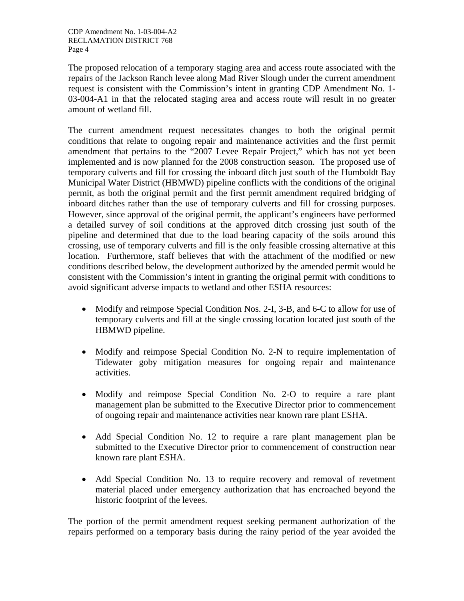The proposed relocation of a temporary staging area and access route associated with the repairs of the Jackson Ranch levee along Mad River Slough under the current amendment request is consistent with the Commission's intent in granting CDP Amendment No. 1- 03-004-A1 in that the relocated staging area and access route will result in no greater amount of wetland fill.

The current amendment request necessitates changes to both the original permit conditions that relate to ongoing repair and maintenance activities and the first permit amendment that pertains to the "2007 Levee Repair Project," which has not yet been implemented and is now planned for the 2008 construction season. The proposed use of temporary culverts and fill for crossing the inboard ditch just south of the Humboldt Bay Municipal Water District (HBMWD) pipeline conflicts with the conditions of the original permit, as both the original permit and the first permit amendment required bridging of inboard ditches rather than the use of temporary culverts and fill for crossing purposes. However, since approval of the original permit, the applicant's engineers have performed a detailed survey of soil conditions at the approved ditch crossing just south of the pipeline and determined that due to the load bearing capacity of the soils around this crossing, use of temporary culverts and fill is the only feasible crossing alternative at this location. Furthermore, staff believes that with the attachment of the modified or new conditions described below, the development authorized by the amended permit would be consistent with the Commission's intent in granting the original permit with conditions to avoid significant adverse impacts to wetland and other ESHA resources:

- Modify and reimpose Special Condition Nos. 2-I, 3-B, and 6-C to allow for use of temporary culverts and fill at the single crossing location located just south of the HBMWD pipeline.
- Modify and reimpose Special Condition No. 2-N to require implementation of Tidewater goby mitigation measures for ongoing repair and maintenance activities.
- Modify and reimpose Special Condition No. 2-O to require a rare plant management plan be submitted to the Executive Director prior to commencement of ongoing repair and maintenance activities near known rare plant ESHA.
- Add Special Condition No. 12 to require a rare plant management plan be submitted to the Executive Director prior to commencement of construction near known rare plant ESHA.
- Add Special Condition No. 13 to require recovery and removal of revetment material placed under emergency authorization that has encroached beyond the historic footprint of the levees.

The portion of the permit amendment request seeking permanent authorization of the repairs performed on a temporary basis during the rainy period of the year avoided the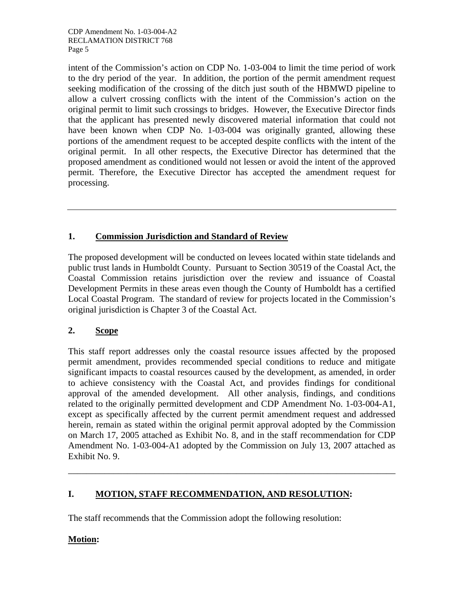intent of the Commission's action on CDP No. 1-03-004 to limit the time period of work to the dry period of the year. In addition, the portion of the permit amendment request seeking modification of the crossing of the ditch just south of the HBMWD pipeline to allow a culvert crossing conflicts with the intent of the Commission's action on the original permit to limit such crossings to bridges. However, the Executive Director finds that the applicant has presented newly discovered material information that could not have been known when CDP No. 1-03-004 was originally granted, allowing these portions of the amendment request to be accepted despite conflicts with the intent of the original permit. In all other respects, the Executive Director has determined that the proposed amendment as conditioned would not lessen or avoid the intent of the approved permit. Therefore, the Executive Director has accepted the amendment request for processing.

# **1. Commission Jurisdiction and Standard of Review**

The proposed development will be conducted on levees located within state tidelands and public trust lands in Humboldt County. Pursuant to Section 30519 of the Coastal Act, the Coastal Commission retains jurisdiction over the review and issuance of Coastal Development Permits in these areas even though the County of Humboldt has a certified Local Coastal Program. The standard of review for projects located in the Commission's original jurisdiction is Chapter 3 of the Coastal Act.

# **2. Scope**

This staff report addresses only the coastal resource issues affected by the proposed permit amendment, provides recommended special conditions to reduce and mitigate significant impacts to coastal resources caused by the development, as amended, in order to achieve consistency with the Coastal Act, and provides findings for conditional approval of the amended development. All other analysis, findings, and conditions related to the originally permitted development and CDP Amendment No. 1-03-004-A1, except as specifically affected by the current permit amendment request and addressed herein, remain as stated within the original permit approval adopted by the Commission on March 17, 2005 attached as Exhibit No. 8, and in the staff recommendation for CDP Amendment No. 1-03-004-A1 adopted by the Commission on July 13, 2007 attached as Exhibit No. 9.

\_\_\_\_\_\_\_\_\_\_\_\_\_\_\_\_\_\_\_\_\_\_\_\_\_\_\_\_\_\_\_\_\_\_\_\_\_\_\_\_\_\_\_\_\_\_\_\_\_\_\_\_\_\_\_\_\_\_\_\_\_\_\_\_\_\_\_\_\_\_\_\_

# **I. MOTION, STAFF RECOMMENDATION, AND RESOLUTION:**

The staff recommends that the Commission adopt the following resolution:

#### **Motion:**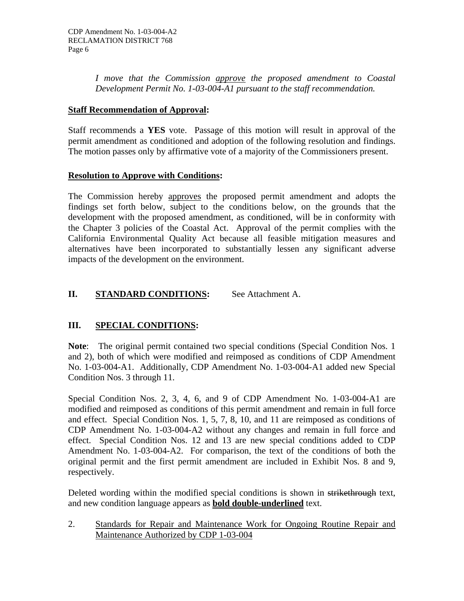*I move that the Commission approve the proposed amendment to Coastal Development Permit No. 1-03-004-A1 pursuant to the staff recommendation.* 

#### **Staff Recommendation of Approval:**

Staff recommends a **YES** vote. Passage of this motion will result in approval of the permit amendment as conditioned and adoption of the following resolution and findings. The motion passes only by affirmative vote of a majority of the Commissioners present.

#### **Resolution to Approve with Conditions:**

The Commission hereby approves the proposed permit amendment and adopts the findings set forth below, subject to the conditions below, on the grounds that the development with the proposed amendment, as conditioned, will be in conformity with the Chapter 3 policies of the Coastal Act. Approval of the permit complies with the California Environmental Quality Act because all feasible mitigation measures and alternatives have been incorporated to substantially lessen any significant adverse impacts of the development on the environment.

# **II.** STANDARD CONDITIONS: See Attachment A.

#### **III. SPECIAL CONDITIONS:**

Note: The original permit contained two special conditions (Special Condition Nos. 1) and 2), both of which were modified and reimposed as conditions of CDP Amendment No. 1-03-004-A1. Additionally, CDP Amendment No. 1-03-004-A1 added new Special Condition Nos. 3 through 11.

Special Condition Nos. 2, 3, 4, 6, and 9 of CDP Amendment No. 1-03-004-A1 are modified and reimposed as conditions of this permit amendment and remain in full force and effect. Special Condition Nos. 1, 5, 7, 8, 10, and 11 are reimposed as conditions of CDP Amendment No. 1-03-004-A2 without any changes and remain in full force and effect. Special Condition Nos. 12 and 13 are new special conditions added to CDP Amendment No. 1-03-004-A2. For comparison, the text of the conditions of both the original permit and the first permit amendment are included in Exhibit Nos. 8 and 9, respectively.

Deleted wording within the modified special conditions is shown in strikethrough text, and new condition language appears as **bold double-underlined** text.

2. Standards for Repair and Maintenance Work for Ongoing Routine Repair and Maintenance Authorized by CDP 1-03-004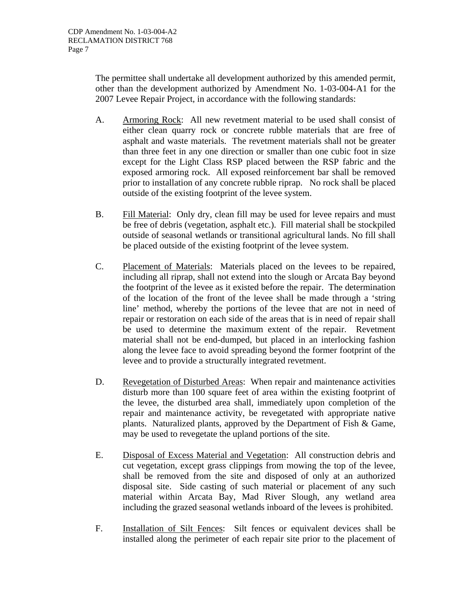The permittee shall undertake all development authorized by this amended permit, other than the development authorized by Amendment No. 1-03-004-A1 for the 2007 Levee Repair Project, in accordance with the following standards:

- A. Armoring Rock: All new revetment material to be used shall consist of either clean quarry rock or concrete rubble materials that are free of asphalt and waste materials. The revetment materials shall not be greater than three feet in any one direction or smaller than one cubic foot in size except for the Light Class RSP placed between the RSP fabric and the exposed armoring rock. All exposed reinforcement bar shall be removed prior to installation of any concrete rubble riprap. No rock shall be placed outside of the existing footprint of the levee system.
- B. Fill Material: Only dry, clean fill may be used for levee repairs and must be free of debris (vegetation, asphalt etc.). Fill material shall be stockpiled outside of seasonal wetlands or transitional agricultural lands. No fill shall be placed outside of the existing footprint of the levee system.
- C. Placement of Materials: Materials placed on the levees to be repaired, including all riprap, shall not extend into the slough or Arcata Bay beyond the footprint of the levee as it existed before the repair. The determination of the location of the front of the levee shall be made through a 'string line' method, whereby the portions of the levee that are not in need of repair or restoration on each side of the areas that is in need of repair shall be used to determine the maximum extent of the repair. Revetment material shall not be end-dumped, but placed in an interlocking fashion along the levee face to avoid spreading beyond the former footprint of the levee and to provide a structurally integrated revetment.
- D. Revegetation of Disturbed Areas: When repair and maintenance activities disturb more than 100 square feet of area within the existing footprint of the levee, the disturbed area shall, immediately upon completion of the repair and maintenance activity, be revegetated with appropriate native plants. Naturalized plants, approved by the Department of Fish & Game, may be used to revegetate the upland portions of the site.
- E. Disposal of Excess Material and Vegetation: All construction debris and cut vegetation, except grass clippings from mowing the top of the levee, shall be removed from the site and disposed of only at an authorized disposal site. Side casting of such material or placement of any such material within Arcata Bay, Mad River Slough, any wetland area including the grazed seasonal wetlands inboard of the levees is prohibited.
- F. Installation of Silt Fences: Silt fences or equivalent devices shall be installed along the perimeter of each repair site prior to the placement of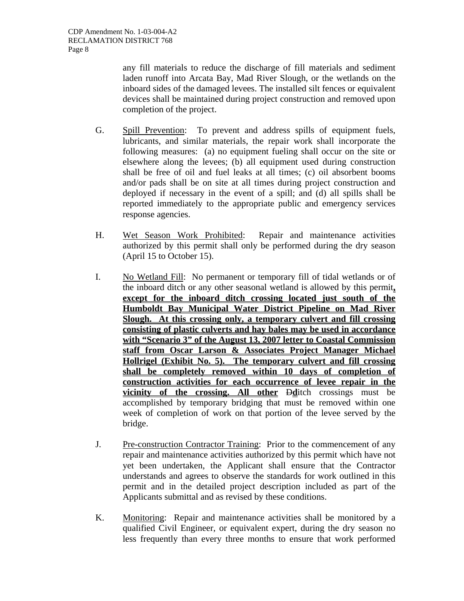any fill materials to reduce the discharge of fill materials and sediment laden runoff into Arcata Bay, Mad River Slough, or the wetlands on the inboard sides of the damaged levees. The installed silt fences or equivalent devices shall be maintained during project construction and removed upon completion of the project.

- G. Spill Prevention: To prevent and address spills of equipment fuels, lubricants, and similar materials, the repair work shall incorporate the following measures: (a) no equipment fueling shall occur on the site or elsewhere along the levees; (b) all equipment used during construction shall be free of oil and fuel leaks at all times; (c) oil absorbent booms and/or pads shall be on site at all times during project construction and deployed if necessary in the event of a spill; and (d) all spills shall be reported immediately to the appropriate public and emergency services response agencies.
- H. Wet Season Work Prohibited: Repair and maintenance activities authorized by this permit shall only be performed during the dry season (April 15 to October 15).
- I. No Wetland Fill: No permanent or temporary fill of tidal wetlands or of the inboard ditch or any other seasonal wetland is allowed by this permit**, except for the inboard ditch crossing located just south of the Humboldt Bay Municipal Water District Pipeline on Mad River Slough. At this crossing only, a temporary culvert and fill crossing consisting of plastic culverts and hay bales may be used in accordance with "Scenario 3" of the August 13, 2007 letter to Coastal Commission staff from Oscar Larson & Associates Project Manager Michael Hollrigel (Exhibit No. 5). The temporary culvert and fill crossing shall be completely removed within 10 days of completion of construction activities for each occurrence of levee repair in the vicinity of the crossing. All other Dd**itch crossings must be accomplished by temporary bridging that must be removed within one week of completion of work on that portion of the levee served by the bridge.
- J. Pre-construction Contractor Training: Prior to the commencement of any repair and maintenance activities authorized by this permit which have not yet been undertaken, the Applicant shall ensure that the Contractor understands and agrees to observe the standards for work outlined in this permit and in the detailed project description included as part of the Applicants submittal and as revised by these conditions.
- K. Monitoring: Repair and maintenance activities shall be monitored by a qualified Civil Engineer, or equivalent expert, during the dry season no less frequently than every three months to ensure that work performed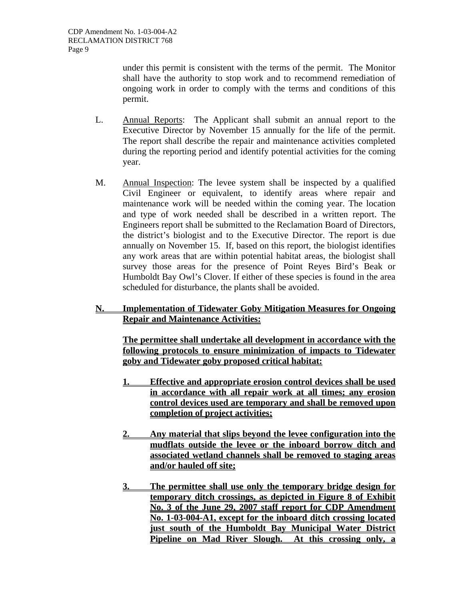under this permit is consistent with the terms of the permit. The Monitor shall have the authority to stop work and to recommend remediation of ongoing work in order to comply with the terms and conditions of this permit.

- L. Annual Reports: The Applicant shall submit an annual report to the Executive Director by November 15 annually for the life of the permit. The report shall describe the repair and maintenance activities completed during the reporting period and identify potential activities for the coming year.
- M. Annual Inspection: The levee system shall be inspected by a qualified Civil Engineer or equivalent, to identify areas where repair and maintenance work will be needed within the coming year. The location and type of work needed shall be described in a written report. The Engineers report shall be submitted to the Reclamation Board of Directors, the district's biologist and to the Executive Director. The report is due annually on November 15. If, based on this report, the biologist identifies any work areas that are within potential habitat areas, the biologist shall survey those areas for the presence of Point Reyes Bird's Beak or Humboldt Bay Owl's Clover. If either of these species is found in the area scheduled for disturbance, the plants shall be avoided.

#### **N. Implementation of Tidewater Goby Mitigation Measures for Ongoing Repair and Maintenance Activities:**

**The permittee shall undertake all development in accordance with the following protocols to ensure minimization of impacts to Tidewater goby and Tidewater goby proposed critical habitat:**

- **1. Effective and appropriate erosion control devices shall be used in accordance with all repair work at all times; any erosion control devices used are temporary and shall be removed upon completion of project activities;**
- **2. Any material that slips beyond the levee configuration into the mudflats outside the levee or the inboard borrow ditch and associated wetland channels shall be removed to staging areas and/or hauled off site;**
- **3. The permittee shall use only the temporary bridge design for temporary ditch crossings, as depicted in Figure 8 of Exhibit No. 3 of the June 29, 2007 staff report for CDP Amendment No. 1-03-004-A1, except for the inboard ditch crossing located just south of the Humboldt Bay Municipal Water District Pipeline on Mad River Slough. At this crossing only, a**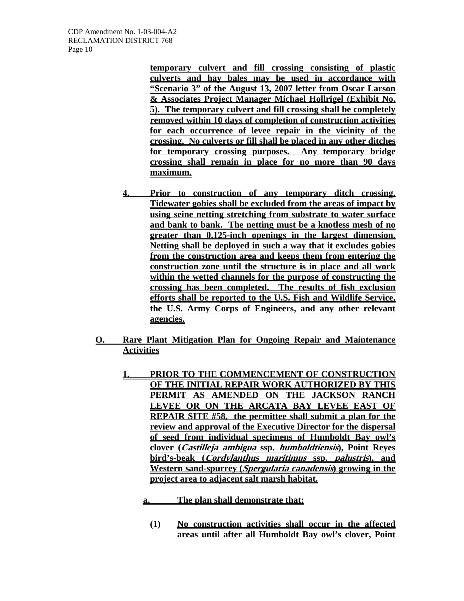**temporary culvert and fill crossing consisting of plastic culverts and hay bales may be used in accordance with "Scenario 3" of the August 13, 2007 letter from Oscar Larson & Associates Project Manager Michael Hollrigel (Exhibit No. 5). The temporary culvert and fill crossing shall be completely removed within 10 days of completion of construction activities for each occurrence of levee repair in the vicinity of the crossing. No culverts or fill shall be placed in any other ditches for temporary crossing purposes. Any temporary bridge crossing shall remain in place for no more than 90 days maximum.**

- **4. Prior to construction of any temporary ditch crossing, Tidewater gobies shall be excluded from the areas of impact by using seine netting stretching from substrate to water surface and bank to bank. The netting must be a knotless mesh of no greater than 0.125-inch openings in the largest dimension. Netting shall be deployed in such a way that it excludes gobies from the construction area and keeps them from entering the construction zone until the structure is in place and all work within the wetted channels for the purpose of constructing the crossing has been completed. The results of fish exclusion efforts shall be reported to the U.S. Fish and Wildlife Service, the U.S. Army Corps of Engineers, and any other relevant agencies.**
- **O. Rare Plant Mitigation Plan for Ongoing Repair and Maintenance Activities**
	- **1. PRIOR TO THE COMMENCEMENT OF CONSTRUCTION OF THE INITIAL REPAIR WORK AUTHORIZED BY THIS PERMIT AS AMENDED ON THE JACKSON RANCH LEVEE OR ON THE ARCATA BAY LEVEE EAST OF REPAIR SITE #58, the permittee shall submit a plan for the review and approval of the Executive Director for the dispersal of seed from individual specimens of Humboldt Bay owl's clover (Castilleja ambigua ssp. humboldtiensis), Point Reyes bird's-beak (Cordylanthus maritimus ssp. palustris), and Western sand-spurrey (Spergularia canadensis) growing in the project area to adjacent salt marsh habitat.**
		- **a. The plan shall demonstrate that:**
			- **(1) No construction activities shall occur in the affected areas until after all Humboldt Bay owl's clover, Point**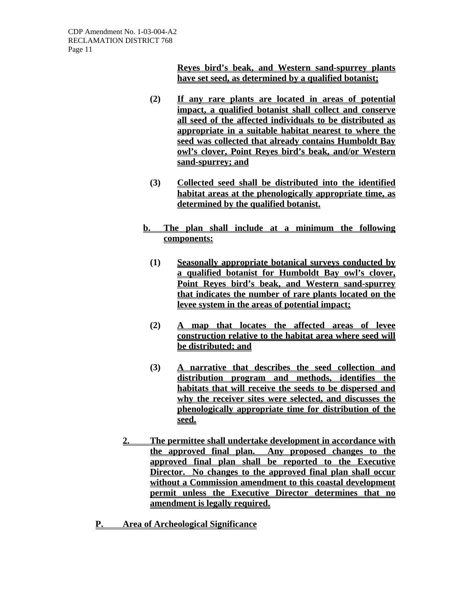**Reyes bird's beak, and Western sand-spurrey plants have set seed, as determined by a qualified botanist;**

- **(2) If any rare plants are located in areas of potential impact, a qualified botanist shall collect and conserve all seed of the affected individuals to be distributed as appropriate in a suitable habitat nearest to where the seed was collected that already contains Humboldt Bay owl's clover, Point Reyes bird's beak, and/or Western sand-spurrey; and**
- **(3) Collected seed shall be distributed into the identified habitat areas at the phenologically appropriate time, as determined by the qualified botanist.**
- **b. The plan shall include at a minimum the following components:**
	- **(1) Seasonally appropriate botanical surveys conducted by a qualified botanist for Humboldt Bay owl's clover, Point Reyes bird's beak, and Western sand-spurrey that indicates the number of rare plants located on the levee system in the areas of potential impact;**
	- **(2) A map that locates the affected areas of levee construction relative to the habitat area where seed will be distributed; and**
	- **(3) A narrative that describes the seed collection and distribution program and methods, identifies the habitats that will receive the seeds to be dispersed and why the receiver sites were selected, and discusses the phenologically appropriate time for distribution of the seed.**
- **2. The permittee shall undertake development in accordance with the approved final plan. Any proposed changes to the approved final plan shall be reported to the Executive Director. No changes to the approved final plan shall occur without a Commission amendment to this coastal development permit unless the Executive Director determines that no amendment is legally required.**
- **P. Area of Archeological Significance**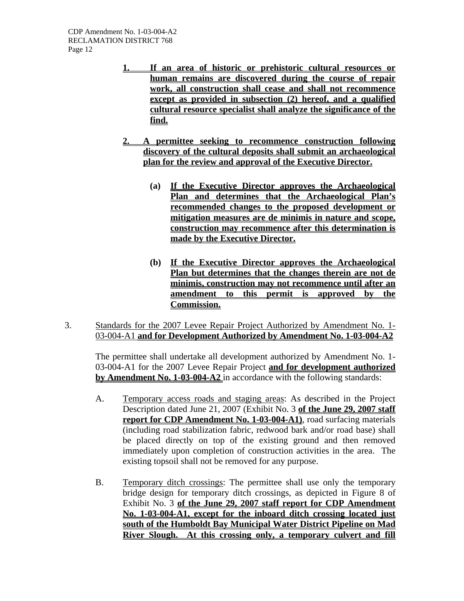- **1. If an area of historic or prehistoric cultural resources or human remains are discovered during the course of repair work, all construction shall cease and shall not recommence except as provided in subsection (2) hereof, and a qualified cultural resource specialist shall analyze the significance of the find.**
- **2. A permittee seeking to recommence construction following discovery of the cultural deposits shall submit an archaeological plan for the review and approval of the Executive Director.**
	- **(a) If the Executive Director approves the Archaeological Plan and determines that the Archaeological Plan's recommended changes to the proposed development or mitigation measures are de minimis in nature and scope, construction may recommence after this determination is made by the Executive Director.**
	- **(b) If the Executive Director approves the Archaeological Plan but determines that the changes therein are not de minimis, construction may not recommence until after an amendment to this permit is approved by the Commission.**
- 3. Standards for the 2007 Levee Repair Project Authorized by Amendment No. 1- 03-004-A1 **and for Development Authorized by Amendment No. 1-03-004-A2**

The permittee shall undertake all development authorized by Amendment No. 1- 03-004-A1 for the 2007 Levee Repair Project **and for development authorized by Amendment No. 1-03-004-A2** in accordance with the following standards:

- A. Temporary access roads and staging areas: As described in the Project Description dated June 21, 2007 (Exhibit No. 3 **of the June 29, 2007 staff report for CDP Amendment No. 1-03-004-A1)**, road surfacing materials (including road stabilization fabric, redwood bark and/or road base) shall be placed directly on top of the existing ground and then removed immediately upon completion of construction activities in the area. The existing topsoil shall not be removed for any purpose.
- B. Temporary ditch crossings: The permittee shall use only the temporary bridge design for temporary ditch crossings, as depicted in Figure 8 of Exhibit No. 3 **of the June 29, 2007 staff report for CDP Amendment No. 1-03-004-A1, except for the inboard ditch crossing located just south of the Humboldt Bay Municipal Water District Pipeline on Mad River Slough. At this crossing only, a temporary culvert and fill**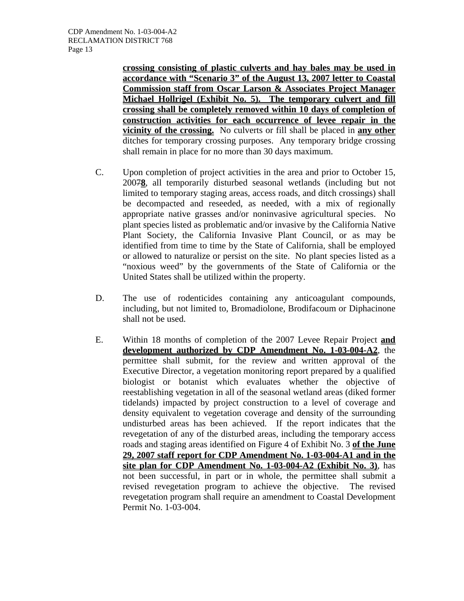CDP Amendment No. 1-03-004-A2 RECLAMATION DISTRICT 768 Page 13

> **crossing consisting of plastic culverts and hay bales may be used in accordance with "Scenario 3" of the August 13, 2007 letter to Coastal Commission staff from Oscar Larson & Associates Project Manager Michael Hollrigel (Exhibit No. 5). The temporary culvert and fill crossing shall be completely removed within 10 days of completion of construction activities for each occurrence of levee repair in the vicinity of the crossing.** No culverts or fill shall be placed in **any other** ditches for temporary crossing purposes. Any temporary bridge crossing shall remain in place for no more than 30 days maximum.

- C. Upon completion of project activities in the area and prior to October 15, 2007**8**, all temporarily disturbed seasonal wetlands (including but not limited to temporary staging areas, access roads, and ditch crossings) shall be decompacted and reseeded, as needed, with a mix of regionally appropriate native grasses and/or noninvasive agricultural species. No plant species listed as problematic and/or invasive by the California Native Plant Society, the California Invasive Plant Council, or as may be identified from time to time by the State of California, shall be employed or allowed to naturalize or persist on the site. No plant species listed as a "noxious weed" by the governments of the State of California or the United States shall be utilized within the property.
- D. The use of rodenticides containing any anticoagulant compounds, including, but not limited to, Bromadiolone, Brodifacoum or Diphacinone shall not be used.
- E. Within 18 months of completion of the 2007 Levee Repair Project **and development authorized by CDP Amendment No. 1-03-004-A2**, the permittee shall submit, for the review and written approval of the Executive Director, a vegetation monitoring report prepared by a qualified biologist or botanist which evaluates whether the objective of reestablishing vegetation in all of the seasonal wetland areas (diked former tidelands) impacted by project construction to a level of coverage and density equivalent to vegetation coverage and density of the surrounding undisturbed areas has been achieved. If the report indicates that the revegetation of any of the disturbed areas, including the temporary access roads and staging areas identified on Figure 4 of Exhibit No. 3 **of the June 29, 2007 staff report for CDP Amendment No. 1-03-004-A1 and in the site plan for CDP Amendment No. 1-03-004-A2 (Exhibit No. 3)**, has not been successful, in part or in whole, the permittee shall submit a revised revegetation program to achieve the objective. The revised revegetation program shall require an amendment to Coastal Development Permit No. 1-03-004.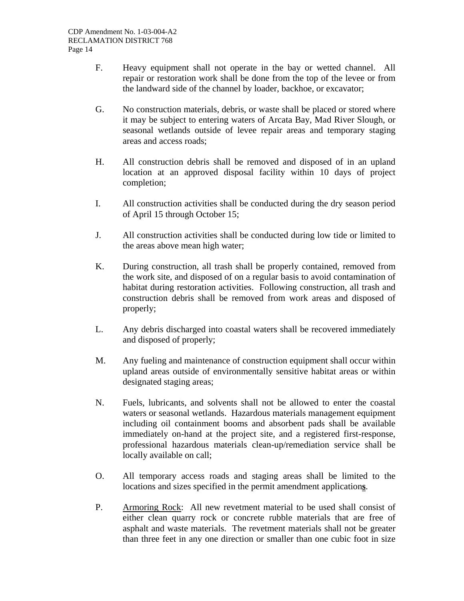- F. Heavy equipment shall not operate in the bay or wetted channel. All repair or restoration work shall be done from the top of the levee or from the landward side of the channel by loader, backhoe, or excavator;
- G. No construction materials, debris, or waste shall be placed or stored where it may be subject to entering waters of Arcata Bay, Mad River Slough, or seasonal wetlands outside of levee repair areas and temporary staging areas and access roads;
- H. All construction debris shall be removed and disposed of in an upland location at an approved disposal facility within 10 days of project completion;
- I. All construction activities shall be conducted during the dry season period of April 15 through October 15;
- J. All construction activities shall be conducted during low tide or limited to the areas above mean high water;
- K. During construction, all trash shall be properly contained, removed from the work site, and disposed of on a regular basis to avoid contamination of habitat during restoration activities. Following construction, all trash and construction debris shall be removed from work areas and disposed of properly;
- L. Any debris discharged into coastal waters shall be recovered immediately and disposed of properly;
- M. Any fueling and maintenance of construction equipment shall occur within upland areas outside of environmentally sensitive habitat areas or within designated staging areas;
- N. Fuels, lubricants, and solvents shall not be allowed to enter the coastal waters or seasonal wetlands. Hazardous materials management equipment including oil containment booms and absorbent pads shall be available immediately on-hand at the project site, and a registered first-response, professional hazardous materials clean-up/remediation service shall be locally available on call;
- O. All temporary access roads and staging areas shall be limited to the locations and sizes specified in the permit amendment application**s**.
- P. Armoring Rock: All new revetment material to be used shall consist of either clean quarry rock or concrete rubble materials that are free of asphalt and waste materials. The revetment materials shall not be greater than three feet in any one direction or smaller than one cubic foot in size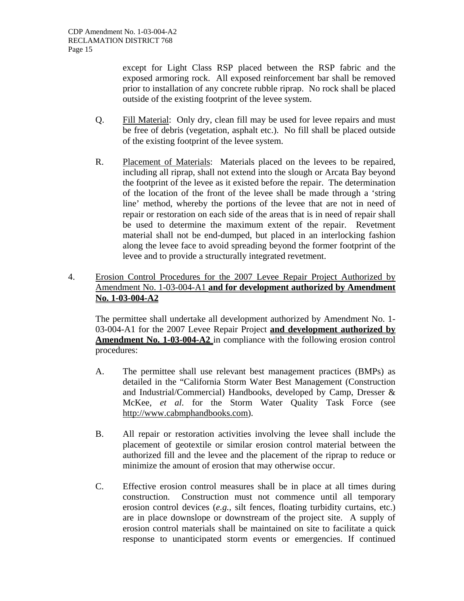except for Light Class RSP placed between the RSP fabric and the exposed armoring rock. All exposed reinforcement bar shall be removed prior to installation of any concrete rubble riprap. No rock shall be placed outside of the existing footprint of the levee system.

- Q. Fill Material: Only dry, clean fill may be used for levee repairs and must be free of debris (vegetation, asphalt etc.). No fill shall be placed outside of the existing footprint of the levee system.
- R. Placement of Materials: Materials placed on the levees to be repaired, including all riprap, shall not extend into the slough or Arcata Bay beyond the footprint of the levee as it existed before the repair. The determination of the location of the front of the levee shall be made through a 'string line' method, whereby the portions of the levee that are not in need of repair or restoration on each side of the areas that is in need of repair shall be used to determine the maximum extent of the repair. Revetment material shall not be end-dumped, but placed in an interlocking fashion along the levee face to avoid spreading beyond the former footprint of the levee and to provide a structurally integrated revetment.
- 4. Erosion Control Procedures for the 2007 Levee Repair Project Authorized by Amendment No. 1-03-004-A1 **and for development authorized by Amendment No. 1-03-004-A2**

The permittee shall undertake all development authorized by Amendment No. 1- 03-004-A1 for the 2007 Levee Repair Project **and development authorized by Amendment No. 1-03-004-A2** in compliance with the following erosion control procedures:

- A. The permittee shall use relevant best management practices (BMPs) as detailed in the "California Storm Water Best Management (Construction and Industrial/Commercial) Handbooks, developed by Camp, Dresser & McKee, *et al*. for the Storm Water Quality Task Force (see http://www.cabmphandbooks.com).
- B. All repair or restoration activities involving the levee shall include the placement of geotextile or similar erosion control material between the authorized fill and the levee and the placement of the riprap to reduce or minimize the amount of erosion that may otherwise occur.
- C. Effective erosion control measures shall be in place at all times during construction. Construction must not commence until all temporary erosion control devices (*e.g.,* silt fences, floating turbidity curtains, etc.) are in place downslope or downstream of the project site. A supply of erosion control materials shall be maintained on site to facilitate a quick response to unanticipated storm events or emergencies. If continued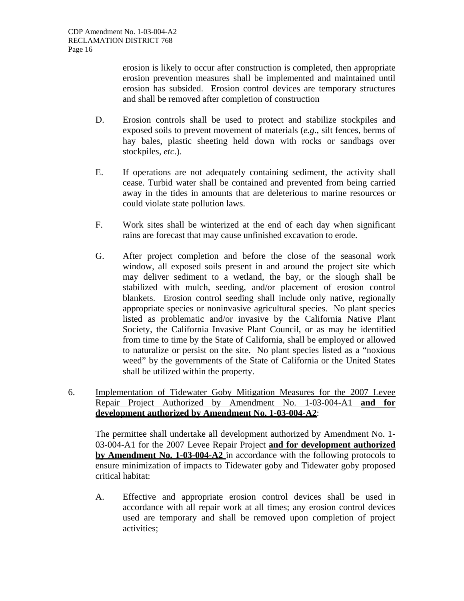erosion is likely to occur after construction is completed, then appropriate erosion prevention measures shall be implemented and maintained until erosion has subsided. Erosion control devices are temporary structures and shall be removed after completion of construction

- D. Erosion controls shall be used to protect and stabilize stockpiles and exposed soils to prevent movement of materials (*e.g*., silt fences, berms of hay bales, plastic sheeting held down with rocks or sandbags over stockpiles, *etc*.).
- E. If operations are not adequately containing sediment, the activity shall cease. Turbid water shall be contained and prevented from being carried away in the tides in amounts that are deleterious to marine resources or could violate state pollution laws.
- F. Work sites shall be winterized at the end of each day when significant rains are forecast that may cause unfinished excavation to erode.
- G. After project completion and before the close of the seasonal work window, all exposed soils present in and around the project site which may deliver sediment to a wetland, the bay, or the slough shall be stabilized with mulch, seeding, and/or placement of erosion control blankets. Erosion control seeding shall include only native, regionally appropriate species or noninvasive agricultural species. No plant species listed as problematic and/or invasive by the California Native Plant Society, the California Invasive Plant Council, or as may be identified from time to time by the State of California, shall be employed or allowed to naturalize or persist on the site. No plant species listed as a "noxious weed" by the governments of the State of California or the United States shall be utilized within the property.
- 6. Implementation of Tidewater Goby Mitigation Measures for the 2007 Levee Repair Project Authorized by Amendment No. 1-03-004-A1 **and for development authorized by Amendment No. 1-03-004-A2**:

The permittee shall undertake all development authorized by Amendment No. 1- 03-004-A1 for the 2007 Levee Repair Project **and for development authorized by Amendment No. 1-03-004-A2** in accordance with the following protocols to ensure minimization of impacts to Tidewater goby and Tidewater goby proposed critical habitat:

A. Effective and appropriate erosion control devices shall be used in accordance with all repair work at all times; any erosion control devices used are temporary and shall be removed upon completion of project activities;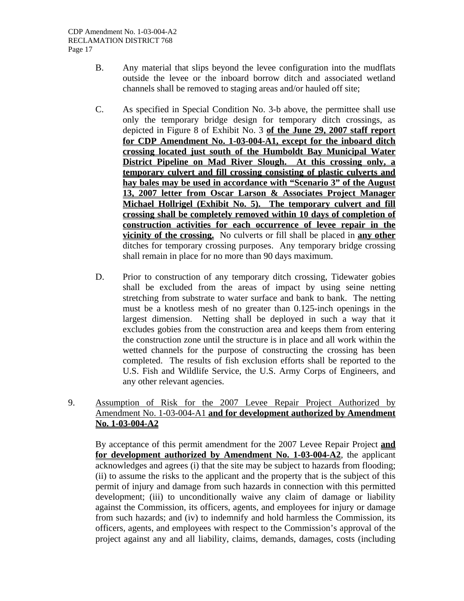- B. Any material that slips beyond the levee configuration into the mudflats outside the levee or the inboard borrow ditch and associated wetland channels shall be removed to staging areas and/or hauled off site;
- C. As specified in Special Condition No. 3-b above, the permittee shall use only the temporary bridge design for temporary ditch crossings, as depicted in Figure 8 of Exhibit No. 3 **of the June 29, 2007 staff report for CDP Amendment No. 1-03-004-A1, except for the inboard ditch crossing located just south of the Humboldt Bay Municipal Water District Pipeline on Mad River Slough. At this crossing only, a temporary culvert and fill crossing consisting of plastic culverts and hay bales may be used in accordance with "Scenario 3" of the August 13, 2007 letter from Oscar Larson & Associates Project Manager Michael Hollrigel (Exhibit No. 5). The temporary culvert and fill crossing shall be completely removed within 10 days of completion of construction activities for each occurrence of levee repair in the vicinity of the crossing.** No culverts or fill shall be placed in **any other** ditches for temporary crossing purposes. Any temporary bridge crossing shall remain in place for no more than 90 days maximum.
- D. Prior to construction of any temporary ditch crossing, Tidewater gobies shall be excluded from the areas of impact by using seine netting stretching from substrate to water surface and bank to bank. The netting must be a knotless mesh of no greater than 0.125-inch openings in the largest dimension. Netting shall be deployed in such a way that it excludes gobies from the construction area and keeps them from entering the construction zone until the structure is in place and all work within the wetted channels for the purpose of constructing the crossing has been completed. The results of fish exclusion efforts shall be reported to the U.S. Fish and Wildlife Service, the U.S. Army Corps of Engineers, and any other relevant agencies.

#### 9. Assumption of Risk for the 2007 Levee Repair Project Authorized by Amendment No. 1-03-004-A1 **and for development authorized by Amendment No. 1-03-004-A2**

By acceptance of this permit amendment for the 2007 Levee Repair Project **and for development authorized by Amendment No. 1-03-004-A2**, the applicant acknowledges and agrees (i) that the site may be subject to hazards from flooding; (ii) to assume the risks to the applicant and the property that is the subject of this permit of injury and damage from such hazards in connection with this permitted development; (iii) to unconditionally waive any claim of damage or liability against the Commission, its officers, agents, and employees for injury or damage from such hazards; and (iv) to indemnify and hold harmless the Commission, its officers, agents, and employees with respect to the Commission's approval of the project against any and all liability, claims, demands, damages, costs (including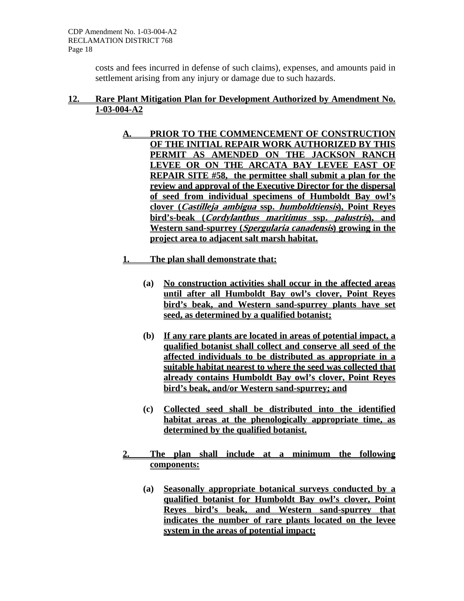costs and fees incurred in defense of such claims), expenses, and amounts paid in settlement arising from any injury or damage due to such hazards.

#### **12. Rare Plant Mitigation Plan for Development Authorized by Amendment No. 1-03-004-A2**

- **A. PRIOR TO THE COMMENCEMENT OF CONSTRUCTION OF THE INITIAL REPAIR WORK AUTHORIZED BY THIS**  PERMIT AS AMENDED ON THE JACKSON RANCH **LEVEE OR ON THE ARCATA BAY LEVEE EAST OF REPAIR SITE #58, the permittee shall submit a plan for the review and approval of the Executive Director for the dispersal of seed from individual specimens of Humboldt Bay owl's clover (Castilleja ambigua ssp. humboldtiensis), Point Reyes bird's-beak (Cordylanthus maritimus ssp. palustris), and Western sand-spurrey (Spergularia canadensis) growing in the project area to adjacent salt marsh habitat.**
- **1. The plan shall demonstrate that:**
	- **(a) No construction activities shall occur in the affected areas until after all Humboldt Bay owl's clover, Point Reyes bird's beak, and Western sand-spurrey plants have set seed, as determined by a qualified botanist;**
	- **(b) If any rare plants are located in areas of potential impact, a qualified botanist shall collect and conserve all seed of the affected individuals to be distributed as appropriate in a suitable habitat nearest to where the seed was collected that already contains Humboldt Bay owl's clover, Point Reyes bird's beak, and/or Western sand-spurrey; and**
	- **(c) Collected seed shall be distributed into the identified habitat areas at the phenologically appropriate time, as determined by the qualified botanist.**
- **2. The plan shall include at a minimum the following components:**
	- **(a) Seasonally appropriate botanical surveys conducted by a qualified botanist for Humboldt Bay owl's clover, Point Reyes bird's beak, and Western sand-spurrey that indicates the number of rare plants located on the levee system in the areas of potential impact;**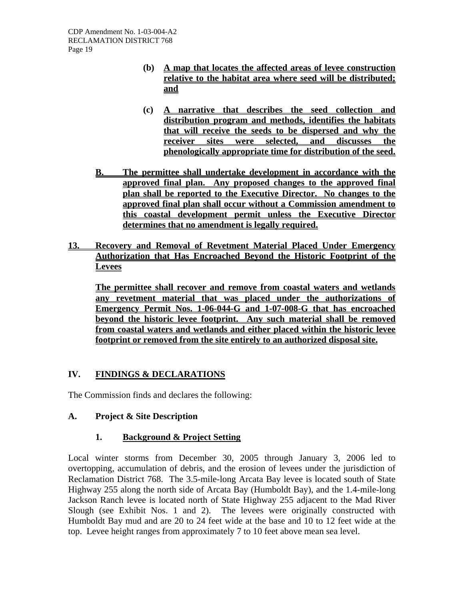- **(b) A map that locates the affected areas of levee construction relative to the habitat area where seed will be distributed; and**
- **(c) A narrative that describes the seed collection and distribution program and methods, identifies the habitats that will receive the seeds to be dispersed and why the receiver sites were selected, and discusses the phenologically appropriate time for distribution of the seed.**
- **B. The permittee shall undertake development in accordance with the approved final plan. Any proposed changes to the approved final plan shall be reported to the Executive Director. No changes to the approved final plan shall occur without a Commission amendment to this coastal development permit unless the Executive Director determines that no amendment is legally required.**
- **13. Recovery and Removal of Revetment Material Placed Under Emergency Authorization that Has Encroached Beyond the Historic Footprint of the Levees**

 **The permittee shall recover and remove from coastal waters and wetlands any revetment material that was placed under the authorizations of Emergency Permit Nos. 1-06-044-G and 1-07-008-G that has encroached beyond the historic levee footprint. Any such material shall be removed from coastal waters and wetlands and either placed within the historic levee footprint or removed from the site entirely to an authorized disposal site.**

# **IV. FINDINGS & DECLARATIONS**

The Commission finds and declares the following:

#### **A. Project & Site Description**

#### **1. Background & Project Setting**

Local winter storms from December 30, 2005 through January 3, 2006 led to overtopping, accumulation of debris, and the erosion of levees under the jurisdiction of Reclamation District 768. The 3.5-mile-long Arcata Bay levee is located south of State Highway 255 along the north side of Arcata Bay (Humboldt Bay), and the 1.4-mile-long Jackson Ranch levee is located north of State Highway 255 adjacent to the Mad River Slough (see Exhibit Nos. 1 and 2). The levees were originally constructed with Humboldt Bay mud and are 20 to 24 feet wide at the base and 10 to 12 feet wide at the top. Levee height ranges from approximately 7 to 10 feet above mean sea level.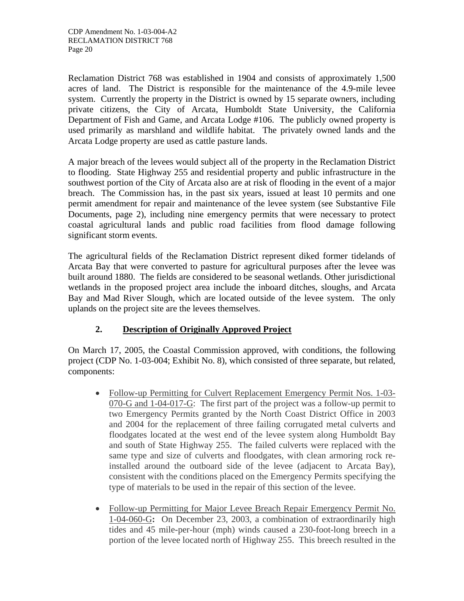Reclamation District 768 was established in 1904 and consists of approximately 1,500 acres of land. The District is responsible for the maintenance of the 4.9-mile levee system. Currently the property in the District is owned by 15 separate owners, including private citizens, the City of Arcata, Humboldt State University, the California Department of Fish and Game, and Arcata Lodge #106. The publicly owned property is used primarily as marshland and wildlife habitat. The privately owned lands and the Arcata Lodge property are used as cattle pasture lands.

A major breach of the levees would subject all of the property in the Reclamation District to flooding. State Highway 255 and residential property and public infrastructure in the southwest portion of the City of Arcata also are at risk of flooding in the event of a major breach. The Commission has, in the past six years, issued at least 10 permits and one permit amendment for repair and maintenance of the levee system (see Substantive File Documents, page 2), including nine emergency permits that were necessary to protect coastal agricultural lands and public road facilities from flood damage following significant storm events.

The agricultural fields of the Reclamation District represent diked former tidelands of Arcata Bay that were converted to pasture for agricultural purposes after the levee was built around 1880. The fields are considered to be seasonal wetlands. Other jurisdictional wetlands in the proposed project area include the inboard ditches, sloughs, and Arcata Bay and Mad River Slough, which are located outside of the levee system. The only uplands on the project site are the levees themselves.

# **2. Description of Originally Approved Project**

On March 17, 2005, the Coastal Commission approved, with conditions, the following project (CDP No. 1-03-004; Exhibit No. 8), which consisted of three separate, but related, components:

- Follow-up Permitting for Culvert Replacement Emergency Permit Nos. 1-03-070-G and 1-04-017-G: The first part of the project was a follow-up permit to two Emergency Permits granted by the North Coast District Office in 2003 and 2004 for the replacement of three failing corrugated metal culverts and floodgates located at the west end of the levee system along Humboldt Bay and south of State Highway 255. The failed culverts were replaced with the same type and size of culverts and floodgates, with clean armoring rock reinstalled around the outboard side of the levee (adjacent to Arcata Bay), consistent with the conditions placed on the Emergency Permits specifying the type of materials to be used in the repair of this section of the levee.
- Follow-up Permitting for Major Levee Breach Repair Emergency Permit No. 1-04-060-G**:** On December 23, 2003, a combination of extraordinarily high tides and 45 mile-per-hour (mph) winds caused a 230-foot-long breech in a portion of the levee located north of Highway 255. This breech resulted in the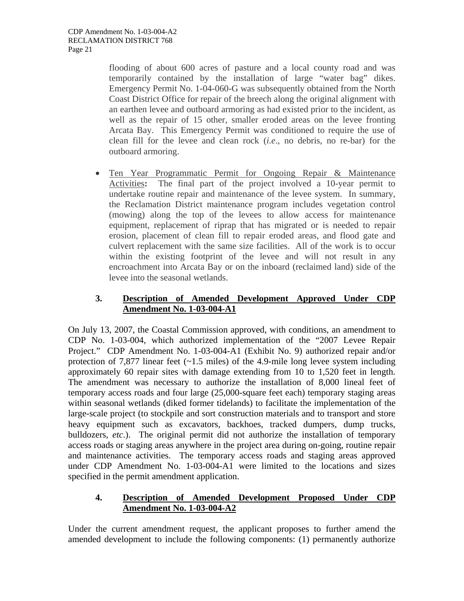flooding of about 600 acres of pasture and a local county road and was temporarily contained by the installation of large "water bag" dikes. Emergency Permit No. 1-04-060-G was subsequently obtained from the North Coast District Office for repair of the breech along the original alignment with an earthen levee and outboard armoring as had existed prior to the incident, as well as the repair of 15 other, smaller eroded areas on the levee fronting Arcata Bay. This Emergency Permit was conditioned to require the use of clean fill for the levee and clean rock (*i.e*., no debris, no re-bar) for the outboard armoring.

• Ten Year Programmatic Permit for Ongoing Repair & Maintenance Activities**:** The final part of the project involved a 10-year permit to undertake routine repair and maintenance of the levee system. In summary, the Reclamation District maintenance program includes vegetation control (mowing) along the top of the levees to allow access for maintenance equipment, replacement of riprap that has migrated or is needed to repair erosion, placement of clean fill to repair eroded areas, and flood gate and culvert replacement with the same size facilities. All of the work is to occur within the existing footprint of the levee and will not result in any encroachment into Arcata Bay or on the inboard (reclaimed land) side of the levee into the seasonal wetlands.

# **3. Description of Amended Development Approved Under CDP Amendment No. 1-03-004-A1**

On July 13, 2007, the Coastal Commission approved, with conditions, an amendment to CDP No. 1-03-004, which authorized implementation of the "2007 Levee Repair Project." CDP Amendment No. 1-03-004-A1 (Exhibit No. 9) authorized repair and/or protection of 7,877 linear feet  $(\sim 1.5 \text{ miles})$  of the 4.9-mile long levee system including approximately 60 repair sites with damage extending from 10 to 1,520 feet in length. The amendment was necessary to authorize the installation of 8,000 lineal feet of temporary access roads and four large (25,000-square feet each) temporary staging areas within seasonal wetlands (diked former tidelands) to facilitate the implementation of the large-scale project (to stockpile and sort construction materials and to transport and store heavy equipment such as excavators, backhoes, tracked dumpers, dump trucks, bulldozers, *etc*.). The original permit did not authorize the installation of temporary access roads or staging areas anywhere in the project area during on-going, routine repair and maintenance activities. The temporary access roads and staging areas approved under CDP Amendment No. 1-03-004-A1 were limited to the locations and sizes specified in the permit amendment application.

# **4. Description of Amended Development Proposed Under CDP Amendment No. 1-03-004-A2**

Under the current amendment request, the applicant proposes to further amend the amended development to include the following components: (1) permanently authorize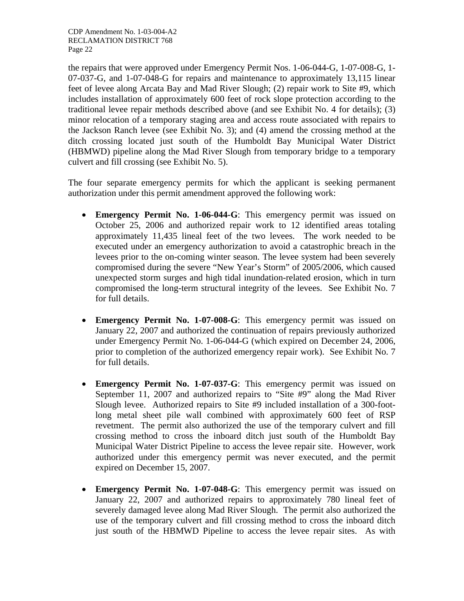the repairs that were approved under Emergency Permit Nos. 1-06-044-G, 1-07-008-G, 1- 07-037-G, and 1-07-048-G for repairs and maintenance to approximately 13,115 linear feet of levee along Arcata Bay and Mad River Slough; (2) repair work to Site #9, which includes installation of approximately 600 feet of rock slope protection according to the traditional levee repair methods described above (and see Exhibit No. 4 for details); (3) minor relocation of a temporary staging area and access route associated with repairs to the Jackson Ranch levee (see Exhibit No. 3); and (4) amend the crossing method at the ditch crossing located just south of the Humboldt Bay Municipal Water District (HBMWD) pipeline along the Mad River Slough from temporary bridge to a temporary culvert and fill crossing (see Exhibit No. 5).

The four separate emergency permits for which the applicant is seeking permanent authorization under this permit amendment approved the following work:

- **Emergency Permit No. 1-06-044-G**: This emergency permit was issued on October 25, 2006 and authorized repair work to 12 identified areas totaling approximately 11,435 lineal feet of the two levees. The work needed to be executed under an emergency authorization to avoid a catastrophic breach in the levees prior to the on-coming winter season. The levee system had been severely compromised during the severe "New Year's Storm" of 2005/2006, which caused unexpected storm surges and high tidal inundation-related erosion, which in turn compromised the long-term structural integrity of the levees. See Exhibit No. 7 for full details.
- **Emergency Permit No. 1-07-008-G**: This emergency permit was issued on January 22, 2007 and authorized the continuation of repairs previously authorized under Emergency Permit No. 1-06-044-G (which expired on December 24, 2006, prior to completion of the authorized emergency repair work). See Exhibit No. 7 for full details.
- **Emergency Permit No. 1-07-037-G**: This emergency permit was issued on September 11, 2007 and authorized repairs to "Site #9" along the Mad River Slough levee. Authorized repairs to Site #9 included installation of a 300-footlong metal sheet pile wall combined with approximately 600 feet of RSP revetment. The permit also authorized the use of the temporary culvert and fill crossing method to cross the inboard ditch just south of the Humboldt Bay Municipal Water District Pipeline to access the levee repair site. However, work authorized under this emergency permit was never executed, and the permit expired on December 15, 2007.
- **Emergency Permit No. 1-07-048-G**: This emergency permit was issued on January 22, 2007 and authorized repairs to approximately 780 lineal feet of severely damaged levee along Mad River Slough. The permit also authorized the use of the temporary culvert and fill crossing method to cross the inboard ditch just south of the HBMWD Pipeline to access the levee repair sites. As with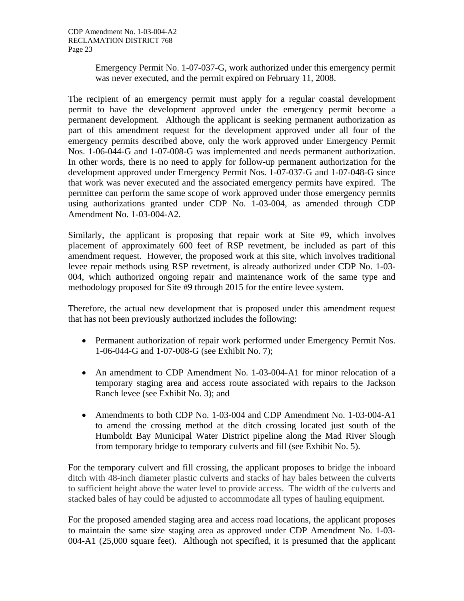Emergency Permit No. 1-07-037-G, work authorized under this emergency permit was never executed, and the permit expired on February 11, 2008.

The recipient of an emergency permit must apply for a regular coastal development permit to have the development approved under the emergency permit become a permanent development. Although the applicant is seeking permanent authorization as part of this amendment request for the development approved under all four of the emergency permits described above, only the work approved under Emergency Permit Nos. 1-06-044-G and 1-07-008-G was implemented and needs permanent authorization. In other words, there is no need to apply for follow-up permanent authorization for the development approved under Emergency Permit Nos. 1-07-037-G and 1-07-048-G since that work was never executed and the associated emergency permits have expired. The permittee can perform the same scope of work approved under those emergency permits using authorizations granted under CDP No. 1-03-004, as amended through CDP Amendment No. 1-03-004-A2.

Similarly, the applicant is proposing that repair work at Site #9, which involves placement of approximately 600 feet of RSP revetment, be included as part of this amendment request. However, the proposed work at this site, which involves traditional levee repair methods using RSP revetment, is already authorized under CDP No. 1-03- 004, which authorized ongoing repair and maintenance work of the same type and methodology proposed for Site #9 through 2015 for the entire levee system.

Therefore, the actual new development that is proposed under this amendment request that has not been previously authorized includes the following:

- Permanent authorization of repair work performed under Emergency Permit Nos. 1-06-044-G and 1-07-008-G (see Exhibit No. 7);
- An amendment to CDP Amendment No. 1-03-004-A1 for minor relocation of a temporary staging area and access route associated with repairs to the Jackson Ranch levee (see Exhibit No. 3); and
- Amendments to both CDP No. 1-03-004 and CDP Amendment No. 1-03-004-A1 to amend the crossing method at the ditch crossing located just south of the Humboldt Bay Municipal Water District pipeline along the Mad River Slough from temporary bridge to temporary culverts and fill (see Exhibit No. 5).

For the temporary culvert and fill crossing, the applicant proposes to bridge the inboard ditch with 48-inch diameter plastic culverts and stacks of hay bales between the culverts to sufficient height above the water level to provide access. The width of the culverts and stacked bales of hay could be adjusted to accommodate all types of hauling equipment.

For the proposed amended staging area and access road locations, the applicant proposes to maintain the same size staging area as approved under CDP Amendment No. 1-03- 004-A1 (25,000 square feet). Although not specified, it is presumed that the applicant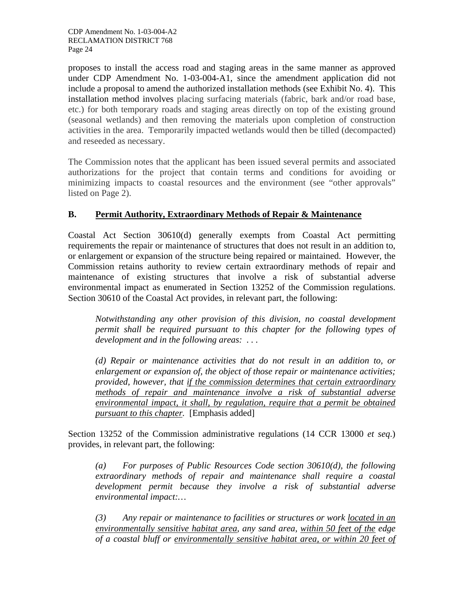proposes to install the access road and staging areas in the same manner as approved under CDP Amendment No. 1-03-004-A1, since the amendment application did not include a proposal to amend the authorized installation methods (see Exhibit No. 4). This installation method involves placing surfacing materials (fabric, bark and/or road base, etc.) for both temporary roads and staging areas directly on top of the existing ground (seasonal wetlands) and then removing the materials upon completion of construction activities in the area. Temporarily impacted wetlands would then be tilled (decompacted) and reseeded as necessary.

The Commission notes that the applicant has been issued several permits and associated authorizations for the project that contain terms and conditions for avoiding or minimizing impacts to coastal resources and the environment (see "other approvals" listed on Page 2).

# **B. Permit Authority, Extraordinary Methods of Repair & Maintenance**

Coastal Act Section 30610(d) generally exempts from Coastal Act permitting requirements the repair or maintenance of structures that does not result in an addition to, or enlargement or expansion of the structure being repaired or maintained. However, the Commission retains authority to review certain extraordinary methods of repair and maintenance of existing structures that involve a risk of substantial adverse environmental impact as enumerated in Section 13252 of the Commission regulations. Section 30610 of the Coastal Act provides, in relevant part, the following:

*Notwithstanding any other provision of this division, no coastal development permit shall be required pursuant to this chapter for the following types of development and in the following areas: . . .* 

*(d) Repair or maintenance activities that do not result in an addition to, or enlargement or expansion of, the object of those repair or maintenance activities; provided, however, that if the commission determines that certain extraordinary methods of repair and maintenance involve a risk of substantial adverse environmental impact, it shall, by regulation, require that a permit be obtained pursuant to this chapter.* [Emphasis added]

Section 13252 of the Commission administrative regulations (14 CCR 13000 *et seq*.) provides, in relevant part, the following:

*(a) For purposes of Public Resources Code section 30610(d), the following extraordinary methods of repair and maintenance shall require a coastal development permit because they involve a risk of substantial adverse environmental impact:…* 

*(3) Any repair or maintenance to facilities or structures or work located in an environmentally sensitive habitat area, any sand area, within 50 feet of the edge of a coastal bluff or environmentally sensitive habitat area, or within 20 feet of*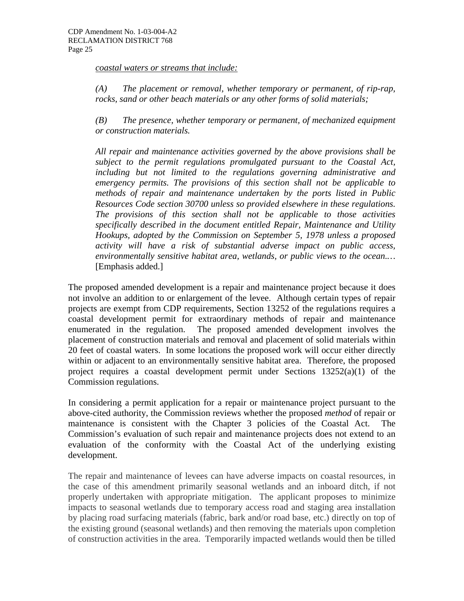*coastal waters or streams that include:*

*(A) The placement or removal, whether temporary or permanent, of rip-rap, rocks, sand or other beach materials or any other forms of solid materials;* 

*(B) The presence, whether temporary or permanent, of mechanized equipment or construction materials.* 

*All repair and maintenance activities governed by the above provisions shall be subject to the permit regulations promulgated pursuant to the Coastal Act, including but not limited to the regulations governing administrative and emergency permits. The provisions of this section shall not be applicable to methods of repair and maintenance undertaken by the ports listed in Public Resources Code section 30700 unless so provided elsewhere in these regulations. The provisions of this section shall not be applicable to those activities specifically described in the document entitled Repair, Maintenance and Utility Hookups, adopted by the Commission on September 5, 1978 unless a proposed activity will have a risk of substantial adverse impact on public access, environmentally sensitive habitat area, wetlands, or public views to the ocean.…*  [Emphasis added.]

The proposed amended development is a repair and maintenance project because it does not involve an addition to or enlargement of the levee. Although certain types of repair projects are exempt from CDP requirements, Section 13252 of the regulations requires a coastal development permit for extraordinary methods of repair and maintenance enumerated in the regulation. The proposed amended development involves the placement of construction materials and removal and placement of solid materials within 20 feet of coastal waters. In some locations the proposed work will occur either directly within or adjacent to an environmentally sensitive habitat area. Therefore, the proposed project requires a coastal development permit under Sections 13252(a)(1) of the Commission regulations.

In considering a permit application for a repair or maintenance project pursuant to the above-cited authority, the Commission reviews whether the proposed *method* of repair or maintenance is consistent with the Chapter 3 policies of the Coastal Act. The Commission's evaluation of such repair and maintenance projects does not extend to an evaluation of the conformity with the Coastal Act of the underlying existing development.

The repair and maintenance of levees can have adverse impacts on coastal resources, in the case of this amendment primarily seasonal wetlands and an inboard ditch, if not properly undertaken with appropriate mitigation. The applicant proposes to minimize impacts to seasonal wetlands due to temporary access road and staging area installation by placing road surfacing materials (fabric, bark and/or road base, etc.) directly on top of the existing ground (seasonal wetlands) and then removing the materials upon completion of construction activities in the area. Temporarily impacted wetlands would then be tilled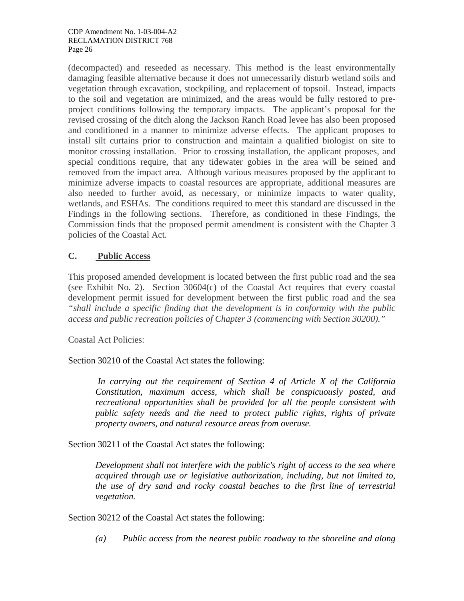(decompacted) and reseeded as necessary. This method is the least environmentally damaging feasible alternative because it does not unnecessarily disturb wetland soils and vegetation through excavation, stockpiling, and replacement of topsoil. Instead, impacts to the soil and vegetation are minimized, and the areas would be fully restored to preproject conditions following the temporary impacts. The applicant's proposal for the revised crossing of the ditch along the Jackson Ranch Road levee has also been proposed and conditioned in a manner to minimize adverse effects. The applicant proposes to install silt curtains prior to construction and maintain a qualified biologist on site to monitor crossing installation. Prior to crossing installation, the applicant proposes, and special conditions require, that any tidewater gobies in the area will be seined and removed from the impact area. Although various measures proposed by the applicant to minimize adverse impacts to coastal resources are appropriate, additional measures are also needed to further avoid, as necessary, or minimize impacts to water quality, wetlands, and ESHAs. The conditions required to meet this standard are discussed in the Findings in the following sections. Therefore, as conditioned in these Findings, the Commission finds that the proposed permit amendment is consistent with the Chapter 3 policies of the Coastal Act.

# **C. Public Access**

This proposed amended development is located between the first public road and the sea (see Exhibit No. 2). Section 30604(c) of the Coastal Act requires that every coastal development permit issued for development between the first public road and the sea *"shall include a specific finding that the development is in conformity with the public access and public recreation policies of Chapter 3 (commencing with Section 30200)."*

#### Coastal Act Policies:

Section 30210 of the Coastal Act states the following:

 *In carrying out the requirement of Section 4 of Article X of the California Constitution, maximum access, which shall be conspicuously posted, and recreational opportunities shall be provided for all the people consistent with public safety needs and the need to protect public rights, rights of private property owners, and natural resource areas from overuse.* 

Section 30211 of the Coastal Act states the following:

*Development shall not interfere with the public's right of access to the sea where acquired through use or legislative authorization, including, but not limited to, the use of dry sand and rocky coastal beaches to the first line of terrestrial vegetation.* 

Section 30212 of the Coastal Act states the following:

*(a) Public access from the nearest public roadway to the shoreline and along*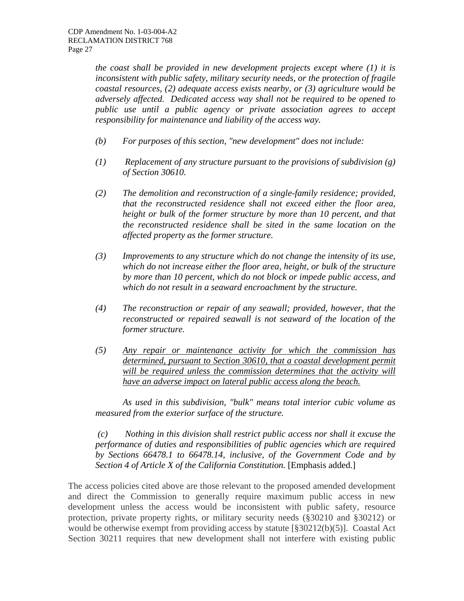*the coast shall be provided in new development projects except where (1) it is inconsistent with public safety, military security needs, or the protection of fragile coastal resources, (2) adequate access exists nearby, or (3) agriculture would be adversely affected. Dedicated access way shall not be required to be opened to public use until a public agency or private association agrees to accept responsibility for maintenance and liability of the access way.* 

- *(b) For purposes of this section, "new development" does not include:*
- *(1) Replacement of any structure pursuant to the provisions of subdivision (g) of Section 30610.*
- *(2) The demolition and reconstruction of a single-family residence; provided, that the reconstructed residence shall not exceed either the floor area, height or bulk of the former structure by more than 10 percent, and that the reconstructed residence shall be sited in the same location on the affected property as the former structure.*
- *(3) Improvements to any structure which do not change the intensity of its use, which do not increase either the floor area, height, or bulk of the structure by more than 10 percent, which do not block or impede public access, and which do not result in a seaward encroachment by the structure.*
- *(4) The reconstruction or repair of any seawall; provided, however, that the reconstructed or repaired seawall is not seaward of the location of the former structure.*
- *(5) Any repair or maintenance activity for which the commission has determined, pursuant to Section 30610, that a coastal development permit*  will be required unless the commission determines that the activity will *have an adverse impact on lateral public access along the beach.*

*As used in this subdivision, "bulk" means total interior cubic volume as measured from the exterior surface of the structure.* 

 *(c) Nothing in this division shall restrict public access nor shall it excuse the performance of duties and responsibilities of public agencies which are required by Sections 66478.1 to 66478.14, inclusive, of the Government Code and by Section 4 of Article X of the California Constitution.* [Emphasis added.]

The access policies cited above are those relevant to the proposed amended development and direct the Commission to generally require maximum public access in new development unless the access would be inconsistent with public safety, resource protection, private property rights, or military security needs (§30210 and §30212) or would be otherwise exempt from providing access by statute [§30212(b)(5)]. Coastal Act Section 30211 requires that new development shall not interfere with existing public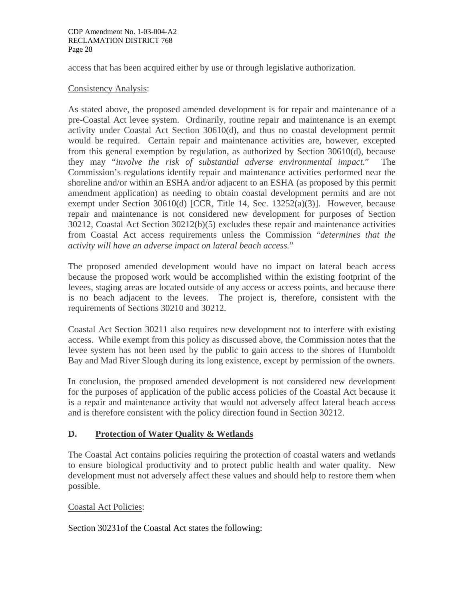access that has been acquired either by use or through legislative authorization.

#### Consistency Analysis:

As stated above, the proposed amended development is for repair and maintenance of a pre-Coastal Act levee system. Ordinarily, routine repair and maintenance is an exempt activity under Coastal Act Section 30610(d), and thus no coastal development permit would be required. Certain repair and maintenance activities are, however, excepted from this general exemption by regulation, as authorized by Section 30610(d), because they may "*involve the risk of substantial adverse environmental impact.*" The Commission's regulations identify repair and maintenance activities performed near the shoreline and/or within an ESHA and/or adjacent to an ESHA (as proposed by this permit amendment application) as needing to obtain coastal development permits and are not exempt under Section 30610(d) [CCR, Title 14, Sec. 13252(a)(3)]. However, because repair and maintenance is not considered new development for purposes of Section 30212, Coastal Act Section 30212(b)(5) excludes these repair and maintenance activities from Coastal Act access requirements unless the Commission "*determines that the activity will have an adverse impact on lateral beach access.*"

The proposed amended development would have no impact on lateral beach access because the proposed work would be accomplished within the existing footprint of the levees, staging areas are located outside of any access or access points, and because there is no beach adjacent to the levees. The project is, therefore, consistent with the requirements of Sections 30210 and 30212.

Coastal Act Section 30211 also requires new development not to interfere with existing access. While exempt from this policy as discussed above, the Commission notes that the levee system has not been used by the public to gain access to the shores of Humboldt Bay and Mad River Slough during its long existence, except by permission of the owners.

In conclusion, the proposed amended development is not considered new development for the purposes of application of the public access policies of the Coastal Act because it is a repair and maintenance activity that would not adversely affect lateral beach access and is therefore consistent with the policy direction found in Section 30212.

#### **D. Protection of Water Quality & Wetlands**

The Coastal Act contains policies requiring the protection of coastal waters and wetlands to ensure biological productivity and to protect public health and water quality. New development must not adversely affect these values and should help to restore them when possible.

#### Coastal Act Policies:

Section 30231of the Coastal Act states the following: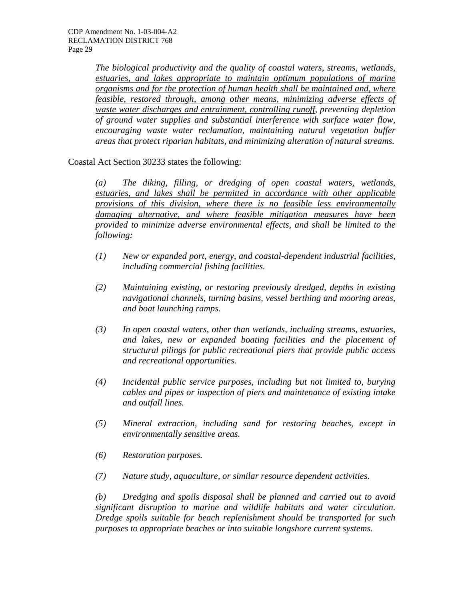*The biological productivity and the quality of coastal waters, streams, wetlands, estuaries, and lakes appropriate to maintain optimum populations of marine organisms and for the protection of human health shall be maintained and, where feasible, restored through, among other means, minimizing adverse effects of waste water discharges and entrainment, controlling runoff, preventing depletion of ground water supplies and substantial interference with surface water flow, encouraging waste water reclamation, maintaining natural vegetation buffer areas that protect riparian habitats, and minimizing alteration of natural streams.* 

Coastal Act Section 30233 states the following:

*(a) The diking, filling, or dredging of open coastal waters, wetlands, estuaries, and lakes shall be permitted in accordance with other applicable provisions of this division, where there is no feasible less environmentally damaging alternative, and where feasible mitigation measures have been provided to minimize adverse environmental effects, and shall be limited to the following:* 

- *(1) New or expanded port, energy, and coastal-dependent industrial facilities, including commercial fishing facilities.*
- *(2) Maintaining existing, or restoring previously dredged, depths in existing navigational channels, turning basins, vessel berthing and mooring areas, and boat launching ramps.*
- *(3) In open coastal waters, other than wetlands, including streams, estuaries, and lakes, new or expanded boating facilities and the placement of structural pilings for public recreational piers that provide public access and recreational opportunities.*
- *(4) Incidental public service purposes, including but not limited to, burying cables and pipes or inspection of piers and maintenance of existing intake and outfall lines.*
- *(5) Mineral extraction, including sand for restoring beaches, except in environmentally sensitive areas.*
- *(6) Restoration purposes.*
- *(7) Nature study, aquaculture, or similar resource dependent activities.*

*(b) Dredging and spoils disposal shall be planned and carried out to avoid significant disruption to marine and wildlife habitats and water circulation. Dredge spoils suitable for beach replenishment should be transported for such purposes to appropriate beaches or into suitable longshore current systems.*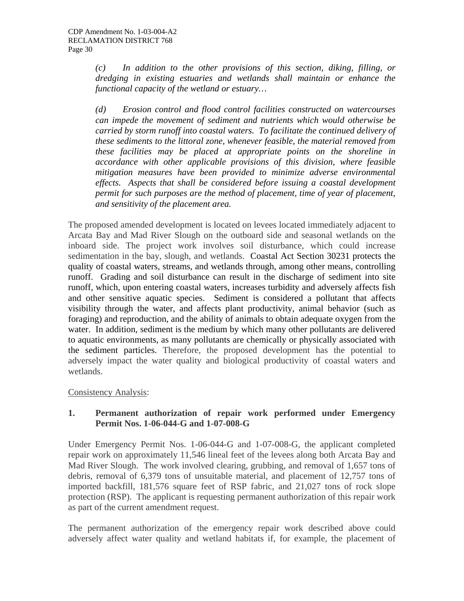*(c) In addition to the other provisions of this section, diking, filling, or dredging in existing estuaries and wetlands shall maintain or enhance the functional capacity of the wetland or estuary…* 

*(d) Erosion control and flood control facilities constructed on watercourses can impede the movement of sediment and nutrients which would otherwise be carried by storm runoff into coastal waters. To facilitate the continued delivery of these sediments to the littoral zone, whenever feasible, the material removed from these facilities may be placed at appropriate points on the shoreline in accordance with other applicable provisions of this division, where feasible mitigation measures have been provided to minimize adverse environmental effects. Aspects that shall be considered before issuing a coastal development permit for such purposes are the method of placement, time of year of placement, and sensitivity of the placement area.* 

The proposed amended development is located on levees located immediately adjacent to Arcata Bay and Mad River Slough on the outboard side and seasonal wetlands on the inboard side. The project work involves soil disturbance, which could increase sedimentation in the bay, slough, and wetlands. Coastal Act Section 30231 protects the quality of coastal waters, streams, and wetlands through, among other means, controlling runoff. Grading and soil disturbance can result in the discharge of sediment into site runoff, which, upon entering coastal waters, increases turbidity and adversely affects fish and other sensitive aquatic species. Sediment is considered a pollutant that affects visibility through the water, and affects plant productivity, animal behavior (such as foraging) and reproduction, and the ability of animals to obtain adequate oxygen from the water. In addition, sediment is the medium by which many other pollutants are delivered to aquatic environments, as many pollutants are chemically or physically associated with the sediment particles. Therefore, the proposed development has the potential to adversely impact the water quality and biological productivity of coastal waters and wetlands.

Consistency Analysis:

#### **1. Permanent authorization of repair work performed under Emergency Permit Nos. 1-06-044-G and 1-07-008-G**

Under Emergency Permit Nos. 1-06-044-G and 1-07-008-G, the applicant completed repair work on approximately 11,546 lineal feet of the levees along both Arcata Bay and Mad River Slough. The work involved clearing, grubbing, and removal of 1,657 tons of debris, removal of 6,379 tons of unsuitable material, and placement of 12,757 tons of imported backfill, 181,576 square feet of RSP fabric, and 21,027 tons of rock slope protection (RSP). The applicant is requesting permanent authorization of this repair work as part of the current amendment request.

The permanent authorization of the emergency repair work described above could adversely affect water quality and wetland habitats if, for example, the placement of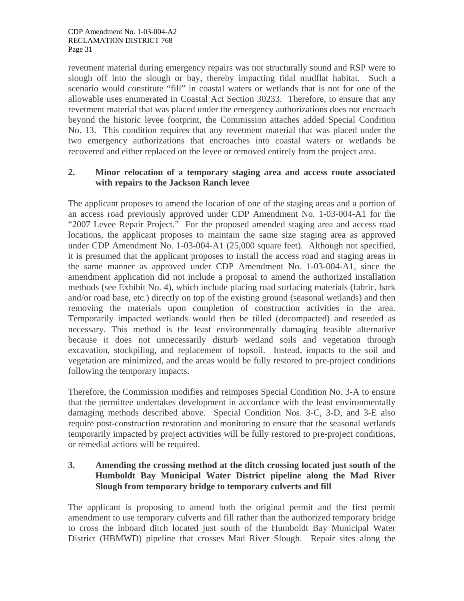revetment material during emergency repairs was not structurally sound and RSP were to slough off into the slough or bay, thereby impacting tidal mudflat habitat. Such a scenario would constitute "fill" in coastal waters or wetlands that is not for one of the allowable uses enumerated in Coastal Act Section 30233. Therefore, to ensure that any revetment material that was placed under the emergency authorizations does not encroach beyond the historic levee footprint, the Commission attaches added Special Condition No. 13. This condition requires that any revetment material that was placed under the two emergency authorizations that encroaches into coastal waters or wetlands be recovered and either replaced on the levee or removed entirely from the project area.

#### **2. Minor relocation of a temporary staging area and access route associated with repairs to the Jackson Ranch levee**

The applicant proposes to amend the location of one of the staging areas and a portion of an access road previously approved under CDP Amendment No. 1-03-004-A1 for the "2007 Levee Repair Project." For the proposed amended staging area and access road locations, the applicant proposes to maintain the same size staging area as approved under CDP Amendment No. 1-03-004-A1 (25,000 square feet). Although not specified, it is presumed that the applicant proposes to install the access road and staging areas in the same manner as approved under CDP Amendment No. 1-03-004-A1, since the amendment application did not include a proposal to amend the authorized installation methods (see Exhibit No. 4), which include placing road surfacing materials (fabric, bark and/or road base, etc.) directly on top of the existing ground (seasonal wetlands) and then removing the materials upon completion of construction activities in the area. Temporarily impacted wetlands would then be tilled (decompacted) and reseeded as necessary. This method is the least environmentally damaging feasible alternative because it does not unnecessarily disturb wetland soils and vegetation through excavation, stockpiling, and replacement of topsoil. Instead, impacts to the soil and vegetation are minimized, and the areas would be fully restored to pre-project conditions following the temporary impacts.

Therefore, the Commission modifies and reimposes Special Condition No. 3-A to ensure that the permittee undertakes development in accordance with the least environmentally damaging methods described above. Special Condition Nos. 3-C, 3-D, and 3-E also require post-construction restoration and monitoring to ensure that the seasonal wetlands temporarily impacted by project activities will be fully restored to pre-project conditions, or remedial actions will be required.

## **3. Amending the crossing method at the ditch crossing located just south of the Humboldt Bay Municipal Water District pipeline along the Mad River Slough from temporary bridge to temporary culverts and fill**

The applicant is proposing to amend both the original permit and the first permit amendment to use temporary culverts and fill rather than the authorized temporary bridge to cross the inboard ditch located just south of the Humboldt Bay Municipal Water District (HBMWD) pipeline that crosses Mad River Slough. Repair sites along the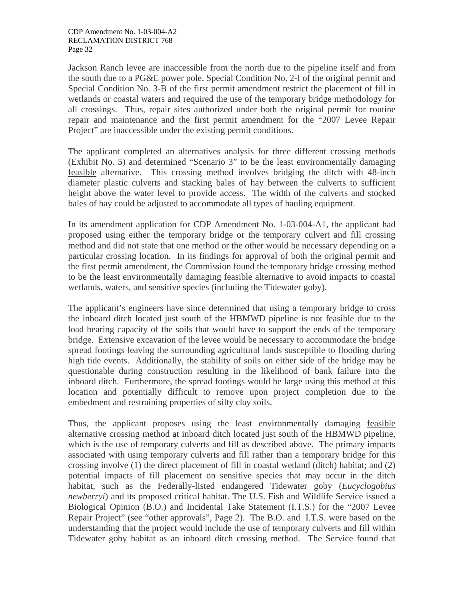Jackson Ranch levee are inaccessible from the north due to the pipeline itself and from the south due to a PG&E power pole. Special Condition No. 2-I of the original permit and Special Condition No. 3-B of the first permit amendment restrict the placement of fill in wetlands or coastal waters and required the use of the temporary bridge methodology for all crossings. Thus, repair sites authorized under both the original permit for routine repair and maintenance and the first permit amendment for the "2007 Levee Repair Project" are inaccessible under the existing permit conditions.

The applicant completed an alternatives analysis for three different crossing methods (Exhibit No. 5) and determined "Scenario 3" to be the least environmentally damaging feasible alternative. This crossing method involves bridging the ditch with 48-inch diameter plastic culverts and stacking bales of hay between the culverts to sufficient height above the water level to provide access. The width of the culverts and stocked bales of hay could be adjusted to accommodate all types of hauling equipment.

In its amendment application for CDP Amendment No. 1-03-004-A1, the applicant had proposed using either the temporary bridge or the temporary culvert and fill crossing method and did not state that one method or the other would be necessary depending on a particular crossing location. In its findings for approval of both the original permit and the first permit amendment, the Commission found the temporary bridge crossing method to be the least environmentally damaging feasible alternative to avoid impacts to coastal wetlands, waters, and sensitive species (including the Tidewater goby).

The applicant's engineers have since determined that using a temporary bridge to cross the inboard ditch located just south of the HBMWD pipeline is not feasible due to the load bearing capacity of the soils that would have to support the ends of the temporary bridge. Extensive excavation of the levee would be necessary to accommodate the bridge spread footings leaving the surrounding agricultural lands susceptible to flooding during high tide events. Additionally, the stability of soils on either side of the bridge may be questionable during construction resulting in the likelihood of bank failure into the inboard ditch. Furthermore, the spread footings would be large using this method at this location and potentially difficult to remove upon project completion due to the embedment and restraining properties of silty clay soils.

Thus, the applicant proposes using the least environmentally damaging feasible alternative crossing method at inboard ditch located just south of the HBMWD pipeline, which is the use of temporary culverts and fill as described above. The primary impacts associated with using temporary culverts and fill rather than a temporary bridge for this crossing involve (1) the direct placement of fill in coastal wetland (ditch) habitat; and (2) potential impacts of fill placement on sensitive species that may occur in the ditch habitat, such as the Federally-listed endangered Tidewater goby (*Eucyclogobius newberryi*) and its proposed critical habitat. The U.S. Fish and Wildlife Service issued a Biological Opinion (B.O.) and Incidental Take Statement (I.T.S.) for the "2007 Levee Repair Project" (see "other approvals", Page 2). The B.O. and I.T.S. were based on the understanding that the project would include the use of temporary culverts and fill within Tidewater goby habitat as an inboard ditch crossing method. The Service found that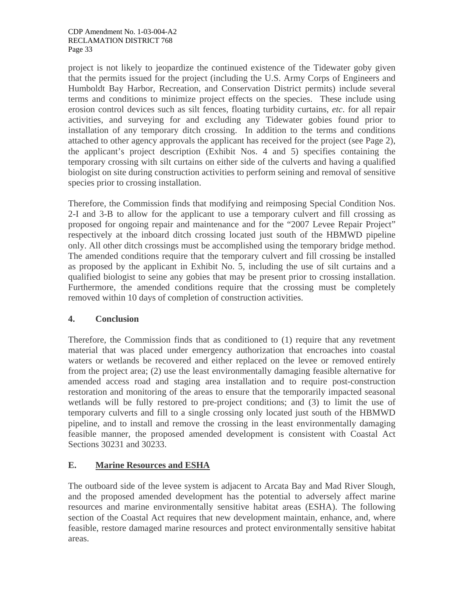project is not likely to jeopardize the continued existence of the Tidewater goby given that the permits issued for the project (including the U.S. Army Corps of Engineers and Humboldt Bay Harbor, Recreation, and Conservation District permits) include several terms and conditions to minimize project effects on the species. These include using erosion control devices such as silt fences, floating turbidity curtains, *etc*. for all repair activities, and surveying for and excluding any Tidewater gobies found prior to installation of any temporary ditch crossing. In addition to the terms and conditions attached to other agency approvals the applicant has received for the project (see Page 2), the applicant's project description (Exhibit Nos. 4 and 5) specifies containing the temporary crossing with silt curtains on either side of the culverts and having a qualified biologist on site during construction activities to perform seining and removal of sensitive species prior to crossing installation.

Therefore, the Commission finds that modifying and reimposing Special Condition Nos. 2-I and 3-B to allow for the applicant to use a temporary culvert and fill crossing as proposed for ongoing repair and maintenance and for the "2007 Levee Repair Project" respectively at the inboard ditch crossing located just south of the HBMWD pipeline only. All other ditch crossings must be accomplished using the temporary bridge method. The amended conditions require that the temporary culvert and fill crossing be installed as proposed by the applicant in Exhibit No. 5, including the use of silt curtains and a qualified biologist to seine any gobies that may be present prior to crossing installation. Furthermore, the amended conditions require that the crossing must be completely removed within 10 days of completion of construction activities.

# **4. Conclusion**

Therefore, the Commission finds that as conditioned to (1) require that any revetment material that was placed under emergency authorization that encroaches into coastal waters or wetlands be recovered and either replaced on the levee or removed entirely from the project area; (2) use the least environmentally damaging feasible alternative for amended access road and staging area installation and to require post-construction restoration and monitoring of the areas to ensure that the temporarily impacted seasonal wetlands will be fully restored to pre-project conditions; and (3) to limit the use of temporary culverts and fill to a single crossing only located just south of the HBMWD pipeline, and to install and remove the crossing in the least environmentally damaging feasible manner, the proposed amended development is consistent with Coastal Act Sections 30231 and 30233.

# **E. Marine Resources and ESHA**

The outboard side of the levee system is adjacent to Arcata Bay and Mad River Slough, and the proposed amended development has the potential to adversely affect marine resources and marine environmentally sensitive habitat areas (ESHA). The following section of the Coastal Act requires that new development maintain, enhance, and, where feasible, restore damaged marine resources and protect environmentally sensitive habitat areas.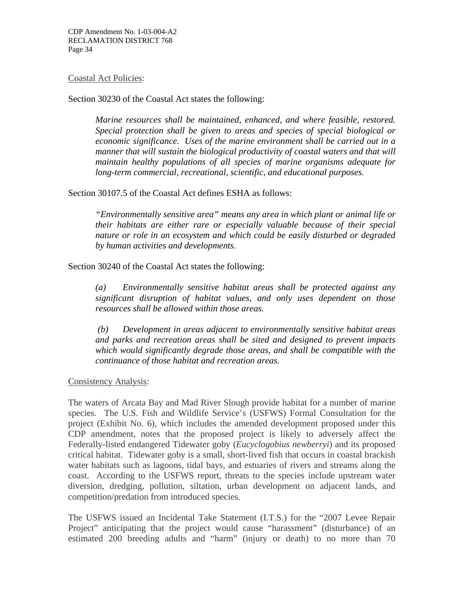#### Coastal Act Policies:

Section 30230 of the Coastal Act states the following:

*Marine resources shall be maintained, enhanced, and where feasible, restored. Special protection shall be given to areas and species of special biological or economic significance. Uses of the marine environment shall be carried out in a manner that will sustain the biological productivity of coastal waters and that will maintain healthy populations of all species of marine organisms adequate for long-term commercial, recreational, scientific, and educational purposes.*

Section 30107.5 of the Coastal Act defines ESHA as follows:

*"Environmentally sensitive area" means any area in which plant or animal life or their habitats are either rare or especially valuable because of their special nature or role in an ecosystem and which could be easily disturbed or degraded by human activities and developments.* 

Section 30240 of the Coastal Act states the following:

*(a) Environmentally sensitive habitat areas shall be protected against any significant disruption of habitat values, and only uses dependent on those resources shall be allowed within those areas.* 

 *(b) Development in areas adjacent to environmentally sensitive habitat areas and parks and recreation areas shall be sited and designed to prevent impacts which would significantly degrade those areas, and shall be compatible with the continuance of those habitat and recreation areas.*

Consistency Analysis:

The waters of Arcata Bay and Mad River Slough provide habitat for a number of marine species. The U.S. Fish and Wildlife Service's (USFWS) Formal Consultation for the project (Exhibit No. 6), which includes the amended development proposed under this CDP amendment, notes that the proposed project is likely to adversely affect the Federally-listed endangered Tidewater goby (*Eucyclogobius newberryi*) and its proposed critical habitat. Tidewater goby is a small, short-lived fish that occurs in coastal brackish water habitats such as lagoons, tidal bays, and estuaries of rivers and streams along the coast. According to the USFWS report, threats to the species include upstream water diversion, dredging, pollution, siltation, urban development on adjacent lands, and competition/predation from introduced species.

The USFWS issued an Incidental Take Statement (I.T.S.) for the "2007 Levee Repair Project" anticipating that the project would cause "harassment" (disturbance) of an estimated 200 breeding adults and "harm" (injury or death) to no more than 70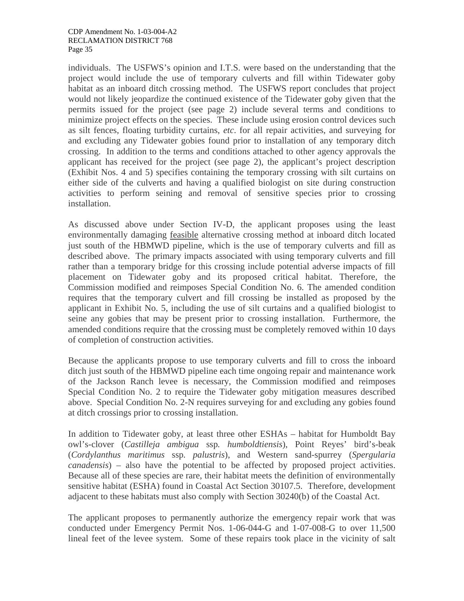individuals. The USFWS's opinion and I.T.S. were based on the understanding that the project would include the use of temporary culverts and fill within Tidewater goby habitat as an inboard ditch crossing method. The USFWS report concludes that project would not likely jeopardize the continued existence of the Tidewater goby given that the permits issued for the project (see page 2) include several terms and conditions to minimize project effects on the species. These include using erosion control devices such as silt fences, floating turbidity curtains, *etc*. for all repair activities, and surveying for and excluding any Tidewater gobies found prior to installation of any temporary ditch crossing. In addition to the terms and conditions attached to other agency approvals the applicant has received for the project (see page 2), the applicant's project description (Exhibit Nos. 4 and 5) specifies containing the temporary crossing with silt curtains on either side of the culverts and having a qualified biologist on site during construction activities to perform seining and removal of sensitive species prior to crossing installation.

As discussed above under Section IV-D, the applicant proposes using the least environmentally damaging feasible alternative crossing method at inboard ditch located just south of the HBMWD pipeline, which is the use of temporary culverts and fill as described above. The primary impacts associated with using temporary culverts and fill rather than a temporary bridge for this crossing include potential adverse impacts of fill placement on Tidewater goby and its proposed critical habitat. Therefore, the Commission modified and reimposes Special Condition No. 6. The amended condition requires that the temporary culvert and fill crossing be installed as proposed by the applicant in Exhibit No. 5, including the use of silt curtains and a qualified biologist to seine any gobies that may be present prior to crossing installation. Furthermore, the amended conditions require that the crossing must be completely removed within 10 days of completion of construction activities.

Because the applicants propose to use temporary culverts and fill to cross the inboard ditch just south of the HBMWD pipeline each time ongoing repair and maintenance work of the Jackson Ranch levee is necessary, the Commission modified and reimposes Special Condition No. 2 to require the Tidewater goby mitigation measures described above. Special Condition No. 2-N requires surveying for and excluding any gobies found at ditch crossings prior to crossing installation.

In addition to Tidewater goby, at least three other ESHAs – habitat for Humboldt Bay owl's-clover (*Castilleja ambigua* ssp*. humboldtiensis*), Point Reyes' bird's-beak (*Cordylanthus maritimus* ssp*. palustris*), and Western sand-spurrey (*Spergularia canadensis*) – also have the potential to be affected by proposed project activities. Because all of these species are rare, their habitat meets the definition of environmentally sensitive habitat (ESHA) found in Coastal Act Section 30107.5. Therefore, development adjacent to these habitats must also comply with Section 30240(b) of the Coastal Act.

The applicant proposes to permanently authorize the emergency repair work that was conducted under Emergency Permit Nos. 1-06-044-G and 1-07-008-G to over 11,500 lineal feet of the levee system. Some of these repairs took place in the vicinity of salt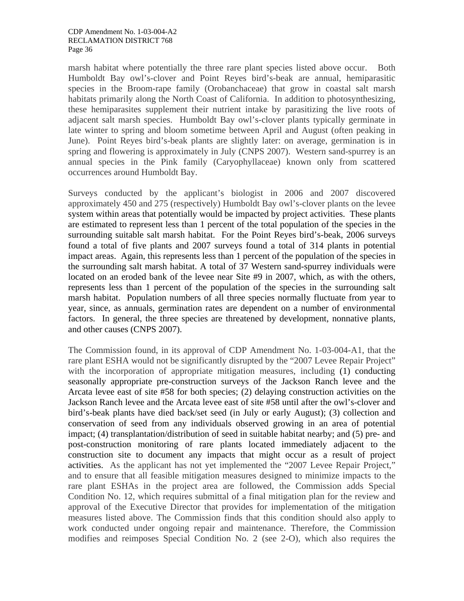marsh habitat where potentially the three rare plant species listed above occur. Both Humboldt Bay owl's-clover and Point Reyes bird's-beak are annual, hemiparasitic species in the Broom-rape family (Orobanchaceae) that grow in coastal salt marsh habitats primarily along the North Coast of California. In addition to photosynthesizing, these hemiparasites supplement their nutrient intake by parasitizing the live roots of adjacent salt marsh species. Humboldt Bay owl's-clover plants typically germinate in late winter to spring and bloom sometime between April and August (often peaking in June). Point Reyes bird's-beak plants are slightly later: on average, germination is in spring and flowering is approximately in July (CNPS 2007). Western sand-spurrey is an annual species in the Pink family (Caryophyllaceae) known only from scattered occurrences around Humboldt Bay.

Surveys conducted by the applicant's biologist in 2006 and 2007 discovered approximately 450 and 275 (respectively) Humboldt Bay owl's-clover plants on the levee system within areas that potentially would be impacted by project activities. These plants are estimated to represent less than 1 percent of the total population of the species in the surrounding suitable salt marsh habitat. For the Point Reyes bird's-beak, 2006 surveys found a total of five plants and 2007 surveys found a total of 314 plants in potential impact areas. Again, this represents less than 1 percent of the population of the species in the surrounding salt marsh habitat. A total of 37 Western sand-spurrey individuals were located on an eroded bank of the levee near Site #9 in 2007, which, as with the others, represents less than 1 percent of the population of the species in the surrounding salt marsh habitat. Population numbers of all three species normally fluctuate from year to year, since, as annuals, germination rates are dependent on a number of environmental factors. In general, the three species are threatened by development, nonnative plants, and other causes (CNPS 2007).

The Commission found, in its approval of CDP Amendment No. 1-03-004-A1, that the rare plant ESHA would not be significantly disrupted by the "2007 Levee Repair Project" with the incorporation of appropriate mitigation measures, including (1) conducting seasonally appropriate pre-construction surveys of the Jackson Ranch levee and the Arcata levee east of site #58 for both species; (2) delaying construction activities on the Jackson Ranch levee and the Arcata levee east of site #58 until after the owl's-clover and bird's-beak plants have died back/set seed (in July or early August); (3) collection and conservation of seed from any individuals observed growing in an area of potential impact; (4) transplantation/distribution of seed in suitable habitat nearby; and (5) pre- and post-construction monitoring of rare plants located immediately adjacent to the construction site to document any impacts that might occur as a result of project activities. As the applicant has not yet implemented the "2007 Levee Repair Project," and to ensure that all feasible mitigation measures designed to minimize impacts to the rare plant ESHAs in the project area are followed, the Commission adds Special Condition No. 12, which requires submittal of a final mitigation plan for the review and approval of the Executive Director that provides for implementation of the mitigation measures listed above. The Commission finds that this condition should also apply to work conducted under ongoing repair and maintenance. Therefore, the Commission modifies and reimposes Special Condition No. 2 (see 2-O), which also requires the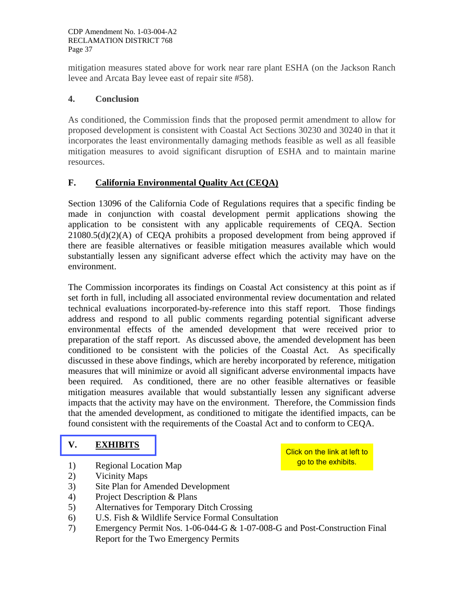mitigation measures stated above for work near rare plant ESHA (on the Jackson Ranch levee and Arcata Bay levee east of repair site #58).

#### **4. Conclusion**

As conditioned, the Commission finds that the proposed permit amendment to allow for proposed development is consistent with Coastal Act Sections 30230 and 30240 in that it incorporates the least environmentally damaging methods feasible as well as all feasible mitigation measures to avoid significant disruption of ESHA and to maintain marine resources.

#### **F. California Environmental Quality Act (CEQA)**

Section 13096 of the California Code of Regulations requires that a specific finding be made in conjunction with coastal development permit applications showing the application to be consistent with any applicable requirements of CEQA. Section  $21080.5(d)(2)(A)$  of CEQA prohibits a proposed development from being approved if there are feasible alternatives or feasible mitigation measures available which would substantially lessen any significant adverse effect which the activity may have on the environment.

The Commission incorporates its findings on Coastal Act consistency at this point as if set forth in full, including all associated environmental review documentation and related technical evaluations incorporated-by-reference into this staff report. Those findings address and respond to all public comments regarding potential significant adverse environmental effects of the amended development that were received prior to preparation of the staff report. As discussed above, the amended development has been conditioned to be consistent with the policies of the Coastal Act. As specifically discussed in these above findings, which are hereby incorporated by reference, mitigation measures that will minimize or avoid all significant adverse environmental impacts have been required. As conditioned, there are no other feasible alternatives or feasible mitigation measures available that would substantially lessen any significant adverse impacts that the activity may have on the environment. Therefore, the Commission finds that the amended development, as conditioned to mitigate the identified impacts, can be found consistent with the requirements of the Coastal Act and to conform to CEQA.

#### **[V. EXHIBITS](http://documents.coastal.ca.gov/reports/2008/5/F18a-5-2008-a1.pdf)**

1) Regional Location Map

Click on the link at left to go to the exhibits.

- 2) Vicinity Maps
- 3) Site Plan for Amended Development
- 4) Project Description & Plans
- 5) Alternatives for Temporary Ditch Crossing
- 6) U.S. Fish & Wildlife Service Formal Consultation
- 7) Emergency Permit Nos. 1-06-044-G & 1-07-008-G and Post-Construction Final Report for the Two Emergency Permits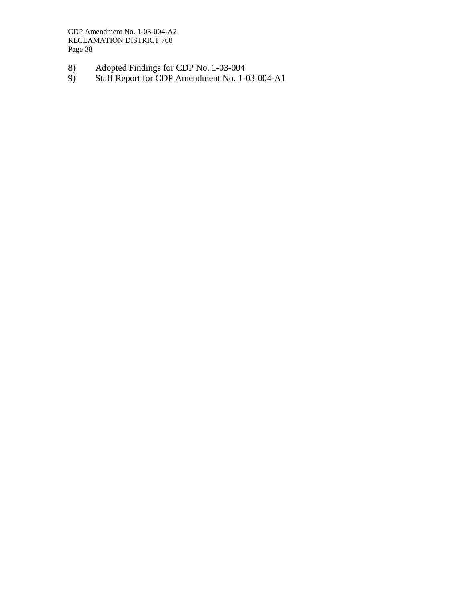CDP Amendment No. 1-03-004-A2 RECLAMATION DISTRICT 768 Page 38

- 8) Adopted Findings for CDP No. 1-03-004
- 9) Staff Report for CDP Amendment No. 1-03-004-A1